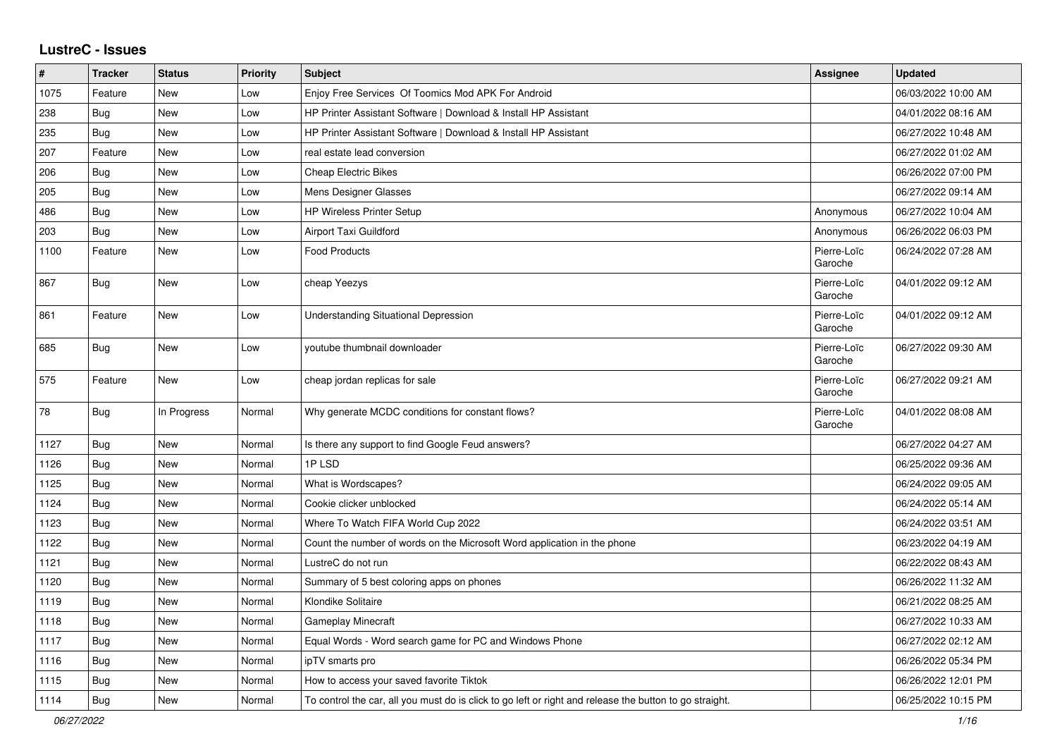## **LustreC - Issues**

| $\sharp$   | <b>Tracker</b> | <b>Status</b> | <b>Priority</b> | <b>Subject</b>                                                                                          | <b>Assignee</b>        | <b>Updated</b>      |
|------------|----------------|---------------|-----------------|---------------------------------------------------------------------------------------------------------|------------------------|---------------------|
| 1075       | Feature        | <b>New</b>    | Low             | Enjoy Free Services Of Toomics Mod APK For Android                                                      |                        | 06/03/2022 10:00 AM |
| 238        | <b>Bug</b>     | <b>New</b>    | Low             | HP Printer Assistant Software   Download & Install HP Assistant                                         |                        | 04/01/2022 08:16 AM |
| 235        | Bug            | <b>New</b>    | Low             | HP Printer Assistant Software   Download & Install HP Assistant                                         |                        | 06/27/2022 10:48 AM |
| 207        | Feature        | New           | Low             | real estate lead conversion                                                                             |                        | 06/27/2022 01:02 AM |
| 206        | Bug            | New           | Low             | <b>Cheap Electric Bikes</b>                                                                             |                        | 06/26/2022 07:00 PM |
| 205        | Bug            | New           | Low             | Mens Designer Glasses                                                                                   |                        | 06/27/2022 09:14 AM |
| 486        | Bug            | <b>New</b>    | Low             | <b>HP Wireless Printer Setup</b>                                                                        | Anonymous              | 06/27/2022 10:04 AM |
| 203        | Bug            | New           | Low             | Airport Taxi Guildford                                                                                  | Anonymous              | 06/26/2022 06:03 PM |
| 1100       | Feature        | <b>New</b>    | Low             | <b>Food Products</b>                                                                                    | Pierre-Loïc<br>Garoche | 06/24/2022 07:28 AM |
| 867        | <b>Bug</b>     | New           | Low             | cheap Yeezys                                                                                            | Pierre-Loïc<br>Garoche | 04/01/2022 09:12 AM |
| 861        | Feature        | <b>New</b>    | Low             | <b>Understanding Situational Depression</b>                                                             | Pierre-Loïc<br>Garoche | 04/01/2022 09:12 AM |
| 685        | Bug            | New           | Low             | youtube thumbnail downloader                                                                            | Pierre-Loïc<br>Garoche | 06/27/2022 09:30 AM |
| 575        | Feature        | New           | Low             | cheap jordan replicas for sale                                                                          | Pierre-Loïc<br>Garoche | 06/27/2022 09:21 AM |
| ${\bf 78}$ | <b>Bug</b>     | In Progress   | Normal          | Why generate MCDC conditions for constant flows?                                                        | Pierre-Loïc<br>Garoche | 04/01/2022 08:08 AM |
| 1127       | Bug            | <b>New</b>    | Normal          | Is there any support to find Google Feud answers?                                                       |                        | 06/27/2022 04:27 AM |
| 1126       | Bug            | <b>New</b>    | Normal          | 1PLSD                                                                                                   |                        | 06/25/2022 09:36 AM |
| 1125       | Bug            | <b>New</b>    | Normal          | What is Wordscapes?                                                                                     |                        | 06/24/2022 09:05 AM |
| 1124       | <b>Bug</b>     | <b>New</b>    | Normal          | Cookie clicker unblocked                                                                                |                        | 06/24/2022 05:14 AM |
| 1123       | Bug            | <b>New</b>    | Normal          | Where To Watch FIFA World Cup 2022                                                                      |                        | 06/24/2022 03:51 AM |
| 1122       | <b>Bug</b>     | <b>New</b>    | Normal          | Count the number of words on the Microsoft Word application in the phone                                |                        | 06/23/2022 04:19 AM |
| 1121       | Bug            | <b>New</b>    | Normal          | LustreC do not run                                                                                      |                        | 06/22/2022 08:43 AM |
| 1120       | Bug            | <b>New</b>    | Normal          | Summary of 5 best coloring apps on phones                                                               |                        | 06/26/2022 11:32 AM |
| 1119       | Bug            | <b>New</b>    | Normal          | Klondike Solitaire                                                                                      |                        | 06/21/2022 08:25 AM |
| 1118       | Bug            | <b>New</b>    | Normal          | <b>Gameplay Minecraft</b>                                                                               |                        | 06/27/2022 10:33 AM |
| 1117       | <b>Bug</b>     | <b>New</b>    | Normal          | Equal Words - Word search game for PC and Windows Phone                                                 |                        | 06/27/2022 02:12 AM |
| 1116       | Bug            | New           | Normal          | ipTV smarts pro                                                                                         |                        | 06/26/2022 05:34 PM |
| 1115       | Bug            | New           | Normal          | How to access your saved favorite Tiktok                                                                |                        | 06/26/2022 12:01 PM |
| 1114       | Bug            | <b>New</b>    | Normal          | To control the car, all you must do is click to go left or right and release the button to go straight. |                        | 06/25/2022 10:15 PM |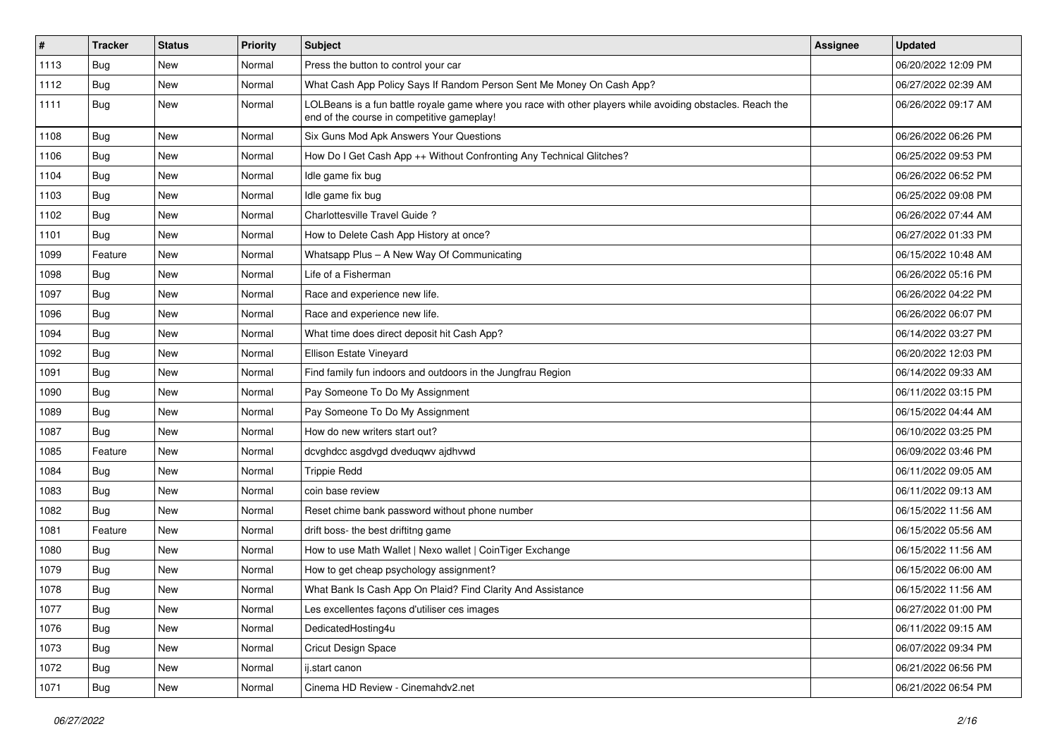| $\vert$ # | <b>Tracker</b> | <b>Status</b> | <b>Priority</b> | Subject                                                                                                                                                  | <b>Assignee</b> | <b>Updated</b>      |
|-----------|----------------|---------------|-----------------|----------------------------------------------------------------------------------------------------------------------------------------------------------|-----------------|---------------------|
| 1113      | Bug            | New           | Normal          | Press the button to control your car                                                                                                                     |                 | 06/20/2022 12:09 PM |
| 1112      | Bug            | <b>New</b>    | Normal          | What Cash App Policy Says If Random Person Sent Me Money On Cash App?                                                                                    |                 | 06/27/2022 02:39 AM |
| 1111      | Bug            | New           | Normal          | LOLBeans is a fun battle royale game where you race with other players while avoiding obstacles. Reach the<br>end of the course in competitive gameplay! |                 | 06/26/2022 09:17 AM |
| 1108      | Bug            | <b>New</b>    | Normal          | Six Guns Mod Apk Answers Your Questions                                                                                                                  |                 | 06/26/2022 06:26 PM |
| 1106      | Bug            | New           | Normal          | How Do I Get Cash App ++ Without Confronting Any Technical Glitches?                                                                                     |                 | 06/25/2022 09:53 PM |
| 1104      | <b>Bug</b>     | <b>New</b>    | Normal          | Idle game fix bug                                                                                                                                        |                 | 06/26/2022 06:52 PM |
| 1103      | Bug            | New           | Normal          | Idle game fix bug                                                                                                                                        |                 | 06/25/2022 09:08 PM |
| 1102      | Bug            | <b>New</b>    | Normal          | Charlottesville Travel Guide?                                                                                                                            |                 | 06/26/2022 07:44 AM |
| 1101      | Bug            | <b>New</b>    | Normal          | How to Delete Cash App History at once?                                                                                                                  |                 | 06/27/2022 01:33 PM |
| 1099      | Feature        | New           | Normal          | Whatsapp Plus - A New Way Of Communicating                                                                                                               |                 | 06/15/2022 10:48 AM |
| 1098      | Bug            | <b>New</b>    | Normal          | Life of a Fisherman                                                                                                                                      |                 | 06/26/2022 05:16 PM |
| 1097      | Bug            | <b>New</b>    | Normal          | Race and experience new life.                                                                                                                            |                 | 06/26/2022 04:22 PM |
| 1096      | Bug            | New           | Normal          | Race and experience new life.                                                                                                                            |                 | 06/26/2022 06:07 PM |
| 1094      | Bug            | <b>New</b>    | Normal          | What time does direct deposit hit Cash App?                                                                                                              |                 | 06/14/2022 03:27 PM |
| 1092      | Bug            | New           | Normal          | Ellison Estate Vineyard                                                                                                                                  |                 | 06/20/2022 12:03 PM |
| 1091      | <b>Bug</b>     | <b>New</b>    | Normal          | Find family fun indoors and outdoors in the Jungfrau Region                                                                                              |                 | 06/14/2022 09:33 AM |
| 1090      | Bug            | <b>New</b>    | Normal          | Pay Someone To Do My Assignment                                                                                                                          |                 | 06/11/2022 03:15 PM |
| 1089      | <b>Bug</b>     | New           | Normal          | Pay Someone To Do My Assignment                                                                                                                          |                 | 06/15/2022 04:44 AM |
| 1087      | Bug            | <b>New</b>    | Normal          | How do new writers start out?                                                                                                                            |                 | 06/10/2022 03:25 PM |
| 1085      | Feature        | New           | Normal          | dcvghdcc asgdvgd dveduqwv ajdhvwd                                                                                                                        |                 | 06/09/2022 03:46 PM |
| 1084      | <b>Bug</b>     | <b>New</b>    | Normal          | <b>Trippie Redd</b>                                                                                                                                      |                 | 06/11/2022 09:05 AM |
| 1083      | Bug            | <b>New</b>    | Normal          | coin base review                                                                                                                                         |                 | 06/11/2022 09:13 AM |
| 1082      | Bug            | New           | Normal          | Reset chime bank password without phone number                                                                                                           |                 | 06/15/2022 11:56 AM |
| 1081      | Feature        | <b>New</b>    | Normal          | drift boss- the best driftitng game                                                                                                                      |                 | 06/15/2022 05:56 AM |
| 1080      | Bug            | <b>New</b>    | Normal          | How to use Math Wallet   Nexo wallet   CoinTiger Exchange                                                                                                |                 | 06/15/2022 11:56 AM |
| 1079      | Bug            | New           | Normal          | How to get cheap psychology assignment?                                                                                                                  |                 | 06/15/2022 06:00 AM |
| 1078      | <b>Bug</b>     | New           | Normal          | What Bank Is Cash App On Plaid? Find Clarity And Assistance                                                                                              |                 | 06/15/2022 11:56 AM |
| 1077      | Bug            | <b>New</b>    | Normal          | Les excellentes façons d'utiliser ces images                                                                                                             |                 | 06/27/2022 01:00 PM |
| 1076      | <b>Bug</b>     | <b>New</b>    | Normal          | DedicatedHosting4u                                                                                                                                       |                 | 06/11/2022 09:15 AM |
| 1073      | Bug            | New           | Normal          | Cricut Design Space                                                                                                                                      |                 | 06/07/2022 09:34 PM |
| 1072      | Bug            | New           | Normal          | ij.start canon                                                                                                                                           |                 | 06/21/2022 06:56 PM |
| 1071      | <b>Bug</b>     | New           | Normal          | Cinema HD Review - Cinemahdv2.net                                                                                                                        |                 | 06/21/2022 06:54 PM |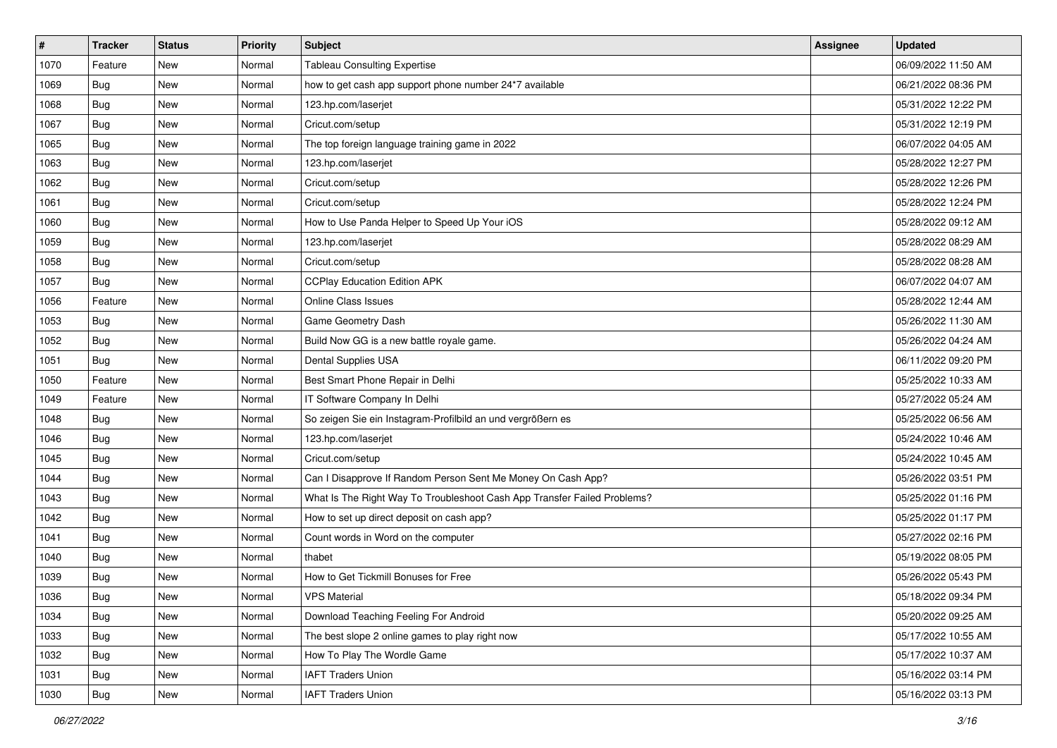| #    | <b>Tracker</b> | <b>Status</b> | <b>Priority</b> | <b>Subject</b>                                                           | <b>Assignee</b> | <b>Updated</b>      |
|------|----------------|---------------|-----------------|--------------------------------------------------------------------------|-----------------|---------------------|
| 1070 | Feature        | New           | Normal          | <b>Tableau Consulting Expertise</b>                                      |                 | 06/09/2022 11:50 AM |
| 1069 | Bug            | New           | Normal          | how to get cash app support phone number 24*7 available                  |                 | 06/21/2022 08:36 PM |
| 1068 | Bug            | New           | Normal          | 123.hp.com/laserjet                                                      |                 | 05/31/2022 12:22 PM |
| 1067 | <b>Bug</b>     | <b>New</b>    | Normal          | Cricut.com/setup                                                         |                 | 05/31/2022 12:19 PM |
| 1065 | <b>Bug</b>     | <b>New</b>    | Normal          | The top foreign language training game in 2022                           |                 | 06/07/2022 04:05 AM |
| 1063 | <b>Bug</b>     | New           | Normal          | 123.hp.com/laserjet                                                      |                 | 05/28/2022 12:27 PM |
| 1062 | <b>Bug</b>     | New           | Normal          | Cricut.com/setup                                                         |                 | 05/28/2022 12:26 PM |
| 1061 | Bug            | New           | Normal          | Cricut.com/setup                                                         |                 | 05/28/2022 12:24 PM |
| 1060 | <b>Bug</b>     | New           | Normal          | How to Use Panda Helper to Speed Up Your iOS                             |                 | 05/28/2022 09:12 AM |
| 1059 | Bug            | <b>New</b>    | Normal          | 123.hp.com/laserjet                                                      |                 | 05/28/2022 08:29 AM |
| 1058 | Bug            | New           | Normal          | Cricut.com/setup                                                         |                 | 05/28/2022 08:28 AM |
| 1057 | Bug            | New           | Normal          | <b>CCPlay Education Edition APK</b>                                      |                 | 06/07/2022 04:07 AM |
| 1056 | Feature        | <b>New</b>    | Normal          | <b>Online Class Issues</b>                                               |                 | 05/28/2022 12:44 AM |
| 1053 | <b>Bug</b>     | New           | Normal          | Game Geometry Dash                                                       |                 | 05/26/2022 11:30 AM |
| 1052 | <b>Bug</b>     | New           | Normal          | Build Now GG is a new battle royale game.                                |                 | 05/26/2022 04:24 AM |
| 1051 | <b>Bug</b>     | New           | Normal          | Dental Supplies USA                                                      |                 | 06/11/2022 09:20 PM |
| 1050 | Feature        | <b>New</b>    | Normal          | Best Smart Phone Repair in Delhi                                         |                 | 05/25/2022 10:33 AM |
| 1049 | Feature        | New           | Normal          | IT Software Company In Delhi                                             |                 | 05/27/2022 05:24 AM |
| 1048 | Bug            | New           | Normal          | So zeigen Sie ein Instagram-Profilbild an und vergrößern es              |                 | 05/25/2022 06:56 AM |
| 1046 | <b>Bug</b>     | <b>New</b>    | Normal          | 123.hp.com/laserjet                                                      |                 | 05/24/2022 10:46 AM |
| 1045 | Bug            | New           | Normal          | Cricut.com/setup                                                         |                 | 05/24/2022 10:45 AM |
| 1044 | <b>Bug</b>     | <b>New</b>    | Normal          | Can I Disapprove If Random Person Sent Me Money On Cash App?             |                 | 05/26/2022 03:51 PM |
| 1043 | Bug            | <b>New</b>    | Normal          | What Is The Right Way To Troubleshoot Cash App Transfer Failed Problems? |                 | 05/25/2022 01:16 PM |
| 1042 | <b>Bug</b>     | New           | Normal          | How to set up direct deposit on cash app?                                |                 | 05/25/2022 01:17 PM |
| 1041 | <b>Bug</b>     | New           | Normal          | Count words in Word on the computer                                      |                 | 05/27/2022 02:16 PM |
| 1040 | <b>Bug</b>     | <b>New</b>    | Normal          | thabet                                                                   |                 | 05/19/2022 08:05 PM |
| 1039 | <b>Bug</b>     | <b>New</b>    | Normal          | How to Get Tickmill Bonuses for Free                                     |                 | 05/26/2022 05:43 PM |
| 1036 | <b>Bug</b>     | New           | Normal          | <b>VPS Material</b>                                                      |                 | 05/18/2022 09:34 PM |
| 1034 | Bug            | New           | Normal          | Download Teaching Feeling For Android                                    |                 | 05/20/2022 09:25 AM |
| 1033 | Bug            | New           | Normal          | The best slope 2 online games to play right now                          |                 | 05/17/2022 10:55 AM |
| 1032 | Bug            | New           | Normal          | How To Play The Wordle Game                                              |                 | 05/17/2022 10:37 AM |
| 1031 | Bug            | New           | Normal          | <b>IAFT Traders Union</b>                                                |                 | 05/16/2022 03:14 PM |
| 1030 | <b>Bug</b>     | New           | Normal          | <b>IAFT Traders Union</b>                                                |                 | 05/16/2022 03:13 PM |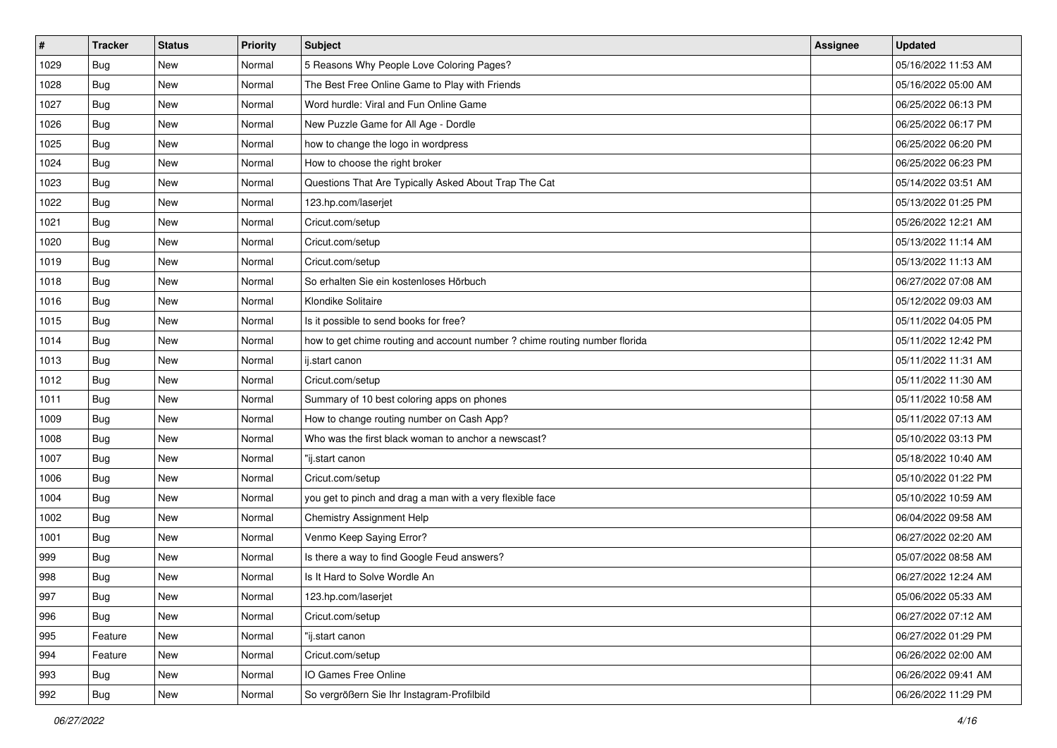| $\vert$ # | <b>Tracker</b> | <b>Status</b> | <b>Priority</b> | <b>Subject</b>                                                             | <b>Assignee</b> | <b>Updated</b>      |
|-----------|----------------|---------------|-----------------|----------------------------------------------------------------------------|-----------------|---------------------|
| 1029      | Bug            | New           | Normal          | 5 Reasons Why People Love Coloring Pages?                                  |                 | 05/16/2022 11:53 AM |
| 1028      | Bug            | <b>New</b>    | Normal          | The Best Free Online Game to Play with Friends                             |                 | 05/16/2022 05:00 AM |
| 1027      | <b>Bug</b>     | New           | Normal          | Word hurdle: Viral and Fun Online Game                                     |                 | 06/25/2022 06:13 PM |
| 1026      | <b>Bug</b>     | <b>New</b>    | Normal          | New Puzzle Game for All Age - Dordle                                       |                 | 06/25/2022 06:17 PM |
| 1025      | <b>Bug</b>     | <b>New</b>    | Normal          | how to change the logo in wordpress                                        |                 | 06/25/2022 06:20 PM |
| 1024      | <b>Bug</b>     | New           | Normal          | How to choose the right broker                                             |                 | 06/25/2022 06:23 PM |
| 1023      | <b>Bug</b>     | <b>New</b>    | Normal          | Questions That Are Typically Asked About Trap The Cat                      |                 | 05/14/2022 03:51 AM |
| 1022      | Bug            | New           | Normal          | 123.hp.com/laserjet                                                        |                 | 05/13/2022 01:25 PM |
| 1021      | <b>Bug</b>     | New           | Normal          | Cricut.com/setup                                                           |                 | 05/26/2022 12:21 AM |
| 1020      | Bug            | <b>New</b>    | Normal          | Cricut.com/setup                                                           |                 | 05/13/2022 11:14 AM |
| 1019      | <b>Bug</b>     | New           | Normal          | Cricut.com/setup                                                           |                 | 05/13/2022 11:13 AM |
| 1018      | <b>Bug</b>     | New           | Normal          | So erhalten Sie ein kostenloses Hörbuch                                    |                 | 06/27/2022 07:08 AM |
| 1016      | <b>Bug</b>     | New           | Normal          | Klondike Solitaire                                                         |                 | 05/12/2022 09:03 AM |
| 1015      | <b>Bug</b>     | <b>New</b>    | Normal          | Is it possible to send books for free?                                     |                 | 05/11/2022 04:05 PM |
| 1014      | <b>Bug</b>     | New           | Normal          | how to get chime routing and account number ? chime routing number florida |                 | 05/11/2022 12:42 PM |
| 1013      | Bug            | New           | Normal          | ij.start canon                                                             |                 | 05/11/2022 11:31 AM |
| 1012      | <b>Bug</b>     | <b>New</b>    | Normal          | Cricut.com/setup                                                           |                 | 05/11/2022 11:30 AM |
| 1011      | <b>Bug</b>     | New           | Normal          | Summary of 10 best coloring apps on phones                                 |                 | 05/11/2022 10:58 AM |
| 1009      | <b>Bug</b>     | New           | Normal          | How to change routing number on Cash App?                                  |                 | 05/11/2022 07:13 AM |
| 1008      | <b>Bug</b>     | <b>New</b>    | Normal          | Who was the first black woman to anchor a newscast?                        |                 | 05/10/2022 03:13 PM |
| 1007      | Bug            | New           | Normal          | "ij.start canon                                                            |                 | 05/18/2022 10:40 AM |
| 1006      | <b>Bug</b>     | New           | Normal          | Cricut.com/setup                                                           |                 | 05/10/2022 01:22 PM |
| 1004      | Bug            | <b>New</b>    | Normal          | you get to pinch and drag a man with a very flexible face                  |                 | 05/10/2022 10:59 AM |
| 1002      | <b>Bug</b>     | New           | Normal          | <b>Chemistry Assignment Help</b>                                           |                 | 06/04/2022 09:58 AM |
| 1001      | <b>Bug</b>     | New           | Normal          | Venmo Keep Saying Error?                                                   |                 | 06/27/2022 02:20 AM |
| 999       | Bug            | New           | Normal          | Is there a way to find Google Feud answers?                                |                 | 05/07/2022 08:58 AM |
| 998       | <b>Bug</b>     | <b>New</b>    | Normal          | Is It Hard to Solve Wordle An                                              |                 | 06/27/2022 12:24 AM |
| 997       | <b>Bug</b>     | New           | Normal          | 123.hp.com/laserjet                                                        |                 | 05/06/2022 05:33 AM |
| 996       | Bug            | New           | Normal          | Cricut.com/setup                                                           |                 | 06/27/2022 07:12 AM |
| 995       | Feature        | New           | Normal          | "ij.start canon                                                            |                 | 06/27/2022 01:29 PM |
| 994       | Feature        | New           | Normal          | Cricut.com/setup                                                           |                 | 06/26/2022 02:00 AM |
| 993       | Bug            | New           | Normal          | IO Games Free Online                                                       |                 | 06/26/2022 09:41 AM |
| 992       | <b>Bug</b>     | New           | Normal          | So vergrößern Sie Ihr Instagram-Profilbild                                 |                 | 06/26/2022 11:29 PM |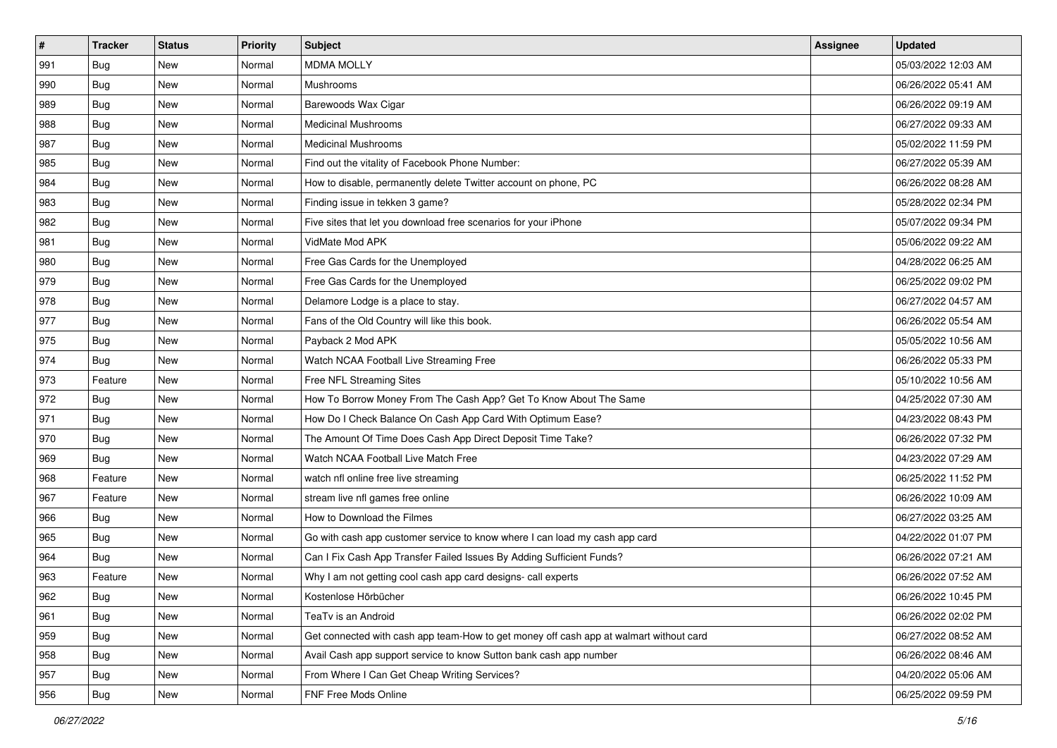| #   | <b>Tracker</b> | <b>Status</b> | <b>Priority</b> | <b>Subject</b>                                                                         | Assignee | <b>Updated</b>      |
|-----|----------------|---------------|-----------------|----------------------------------------------------------------------------------------|----------|---------------------|
| 991 | Bug            | New           | Normal          | <b>MDMA MOLLY</b>                                                                      |          | 05/03/2022 12:03 AM |
| 990 | Bug            | <b>New</b>    | Normal          | Mushrooms                                                                              |          | 06/26/2022 05:41 AM |
| 989 | Bug            | New           | Normal          | Barewoods Wax Cigar                                                                    |          | 06/26/2022 09:19 AM |
| 988 | Bug            | New           | Normal          | <b>Medicinal Mushrooms</b>                                                             |          | 06/27/2022 09:33 AM |
| 987 | <b>Bug</b>     | <b>New</b>    | Normal          | <b>Medicinal Mushrooms</b>                                                             |          | 05/02/2022 11:59 PM |
| 985 | Bug            | New           | Normal          | Find out the vitality of Facebook Phone Number:                                        |          | 06/27/2022 05:39 AM |
| 984 | Bug            | New           | Normal          | How to disable, permanently delete Twitter account on phone, PC                        |          | 06/26/2022 08:28 AM |
| 983 | <b>Bug</b>     | New           | Normal          | Finding issue in tekken 3 game?                                                        |          | 05/28/2022 02:34 PM |
| 982 | Bug            | New           | Normal          | Five sites that let you download free scenarios for your iPhone                        |          | 05/07/2022 09:34 PM |
| 981 | Bug            | <b>New</b>    | Normal          | VidMate Mod APK                                                                        |          | 05/06/2022 09:22 AM |
| 980 | Bug            | New           | Normal          | Free Gas Cards for the Unemployed                                                      |          | 04/28/2022 06:25 AM |
| 979 | Bug            | New           | Normal          | Free Gas Cards for the Unemployed                                                      |          | 06/25/2022 09:02 PM |
| 978 | <b>Bug</b>     | New           | Normal          | Delamore Lodge is a place to stay.                                                     |          | 06/27/2022 04:57 AM |
| 977 | Bug            | New           | Normal          | Fans of the Old Country will like this book.                                           |          | 06/26/2022 05:54 AM |
| 975 | Bug            | New           | Normal          | Payback 2 Mod APK                                                                      |          | 05/05/2022 10:56 AM |
| 974 | <b>Bug</b>     | New           | Normal          | Watch NCAA Football Live Streaming Free                                                |          | 06/26/2022 05:33 PM |
| 973 | Feature        | New           | Normal          | Free NFL Streaming Sites                                                               |          | 05/10/2022 10:56 AM |
| 972 | <b>Bug</b>     | <b>New</b>    | Normal          | How To Borrow Money From The Cash App? Get To Know About The Same                      |          | 04/25/2022 07:30 AM |
| 971 | Bug            | New           | Normal          | How Do I Check Balance On Cash App Card With Optimum Ease?                             |          | 04/23/2022 08:43 PM |
| 970 | Bug            | New           | Normal          | The Amount Of Time Does Cash App Direct Deposit Time Take?                             |          | 06/26/2022 07:32 PM |
| 969 | <b>Bug</b>     | New           | Normal          | Watch NCAA Football Live Match Free                                                    |          | 04/23/2022 07:29 AM |
| 968 | Feature        | <b>New</b>    | Normal          | watch nfl online free live streaming                                                   |          | 06/25/2022 11:52 PM |
| 967 | Feature        | <b>New</b>    | Normal          | stream live nfl games free online                                                      |          | 06/26/2022 10:09 AM |
| 966 | Bug            | New           | Normal          | How to Download the Filmes                                                             |          | 06/27/2022 03:25 AM |
| 965 | Bug            | New           | Normal          | Go with cash app customer service to know where I can load my cash app card            |          | 04/22/2022 01:07 PM |
| 964 | Bug            | New           | Normal          | Can I Fix Cash App Transfer Failed Issues By Adding Sufficient Funds?                  |          | 06/26/2022 07:21 AM |
| 963 | Feature        | New           | Normal          | Why I am not getting cool cash app card designs- call experts                          |          | 06/26/2022 07:52 AM |
| 962 | I Bug          | New           | Normal          | Kostenlose Hörbücher                                                                   |          | 06/26/2022 10:45 PM |
| 961 | <b>Bug</b>     | New           | Normal          | TeaTv is an Android                                                                    |          | 06/26/2022 02:02 PM |
| 959 | <b>Bug</b>     | New           | Normal          | Get connected with cash app team-How to get money off cash app at walmart without card |          | 06/27/2022 08:52 AM |
| 958 | <b>Bug</b>     | New           | Normal          | Avail Cash app support service to know Sutton bank cash app number                     |          | 06/26/2022 08:46 AM |
| 957 | <b>Bug</b>     | New           | Normal          | From Where I Can Get Cheap Writing Services?                                           |          | 04/20/2022 05:06 AM |
| 956 | <b>Bug</b>     | New           | Normal          | FNF Free Mods Online                                                                   |          | 06/25/2022 09:59 PM |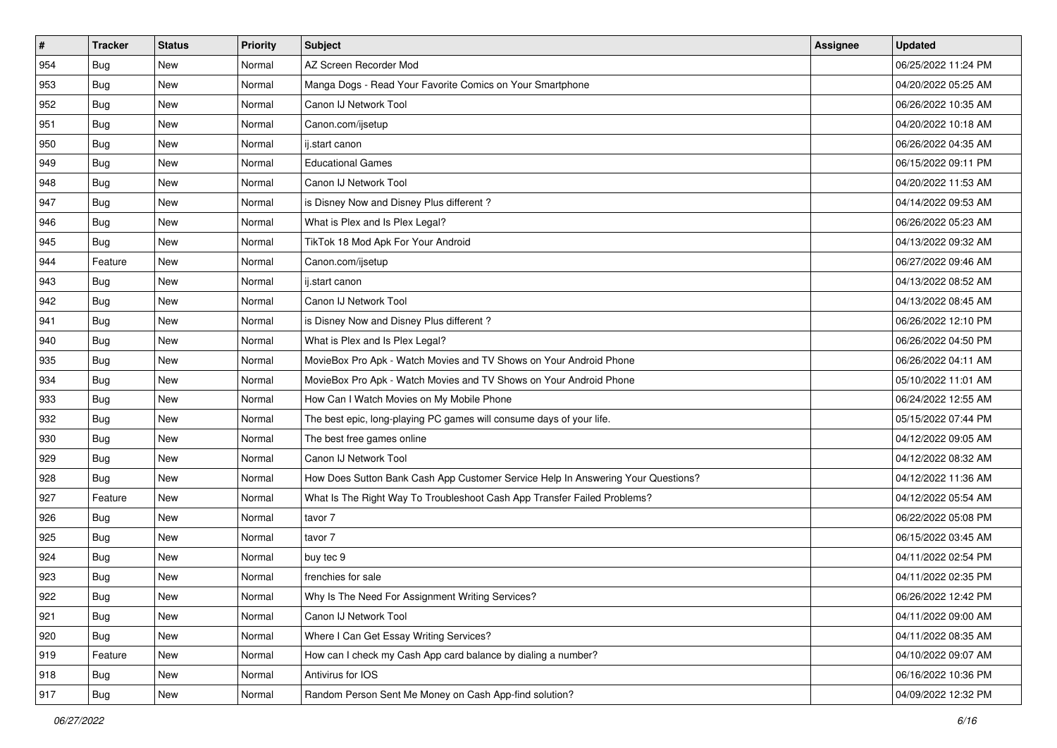| $\sharp$ | <b>Tracker</b> | <b>Status</b> | <b>Priority</b> | <b>Subject</b>                                                                   | Assignee | <b>Updated</b>      |
|----------|----------------|---------------|-----------------|----------------------------------------------------------------------------------|----------|---------------------|
| 954      | Bug            | New           | Normal          | AZ Screen Recorder Mod                                                           |          | 06/25/2022 11:24 PM |
| 953      | Bug            | <b>New</b>    | Normal          | Manga Dogs - Read Your Favorite Comics on Your Smartphone                        |          | 04/20/2022 05:25 AM |
| 952      | <b>Bug</b>     | <b>New</b>    | Normal          | Canon IJ Network Tool                                                            |          | 06/26/2022 10:35 AM |
| 951      | Bug            | <b>New</b>    | Normal          | Canon.com/ijsetup                                                                |          | 04/20/2022 10:18 AM |
| 950      | <b>Bug</b>     | <b>New</b>    | Normal          | ij.start canon                                                                   |          | 06/26/2022 04:35 AM |
| 949      | Bug            | New           | Normal          | <b>Educational Games</b>                                                         |          | 06/15/2022 09:11 PM |
| 948      | Bug            | New           | Normal          | Canon IJ Network Tool                                                            |          | 04/20/2022 11:53 AM |
| 947      | <b>Bug</b>     | <b>New</b>    | Normal          | is Disney Now and Disney Plus different?                                         |          | 04/14/2022 09:53 AM |
| 946      | Bug            | New           | Normal          | What is Plex and Is Plex Legal?                                                  |          | 06/26/2022 05:23 AM |
| 945      | Bug            | <b>New</b>    | Normal          | TikTok 18 Mod Apk For Your Android                                               |          | 04/13/2022 09:32 AM |
| 944      | Feature        | New           | Normal          | Canon.com/ijsetup                                                                |          | 06/27/2022 09:46 AM |
| 943      | <b>Bug</b>     | New           | Normal          | ij.start canon                                                                   |          | 04/13/2022 08:52 AM |
| 942      | Bug            | <b>New</b>    | Normal          | Canon IJ Network Tool                                                            |          | 04/13/2022 08:45 AM |
| 941      | <b>Bug</b>     | New           | Normal          | is Disney Now and Disney Plus different?                                         |          | 06/26/2022 12:10 PM |
| 940      | Bug            | New           | Normal          | What is Plex and Is Plex Legal?                                                  |          | 06/26/2022 04:50 PM |
| 935      | Bug            | New           | Normal          | MovieBox Pro Apk - Watch Movies and TV Shows on Your Android Phone               |          | 06/26/2022 04:11 AM |
| 934      | <b>Bug</b>     | <b>New</b>    | Normal          | MovieBox Pro Apk - Watch Movies and TV Shows on Your Android Phone               |          | 05/10/2022 11:01 AM |
| 933      | Bug            | <b>New</b>    | Normal          | How Can I Watch Movies on My Mobile Phone                                        |          | 06/24/2022 12:55 AM |
| 932      | Bug            | New           | Normal          | The best epic, long-playing PC games will consume days of your life.             |          | 05/15/2022 07:44 PM |
| 930      | Bug            | New           | Normal          | The best free games online                                                       |          | 04/12/2022 09:05 AM |
| 929      | <b>Bug</b>     | <b>New</b>    | Normal          | Canon IJ Network Tool                                                            |          | 04/12/2022 08:32 AM |
| 928      | <b>Bug</b>     | <b>New</b>    | Normal          | How Does Sutton Bank Cash App Customer Service Help In Answering Your Questions? |          | 04/12/2022 11:36 AM |
| 927      | Feature        | <b>New</b>    | Normal          | What Is The Right Way To Troubleshoot Cash App Transfer Failed Problems?         |          | 04/12/2022 05:54 AM |
| 926      | Bug            | New           | Normal          | tavor 7                                                                          |          | 06/22/2022 05:08 PM |
| 925      | Bug            | New           | Normal          | tavor 7                                                                          |          | 06/15/2022 03:45 AM |
| 924      | Bug            | <b>New</b>    | Normal          | buy tec 9                                                                        |          | 04/11/2022 02:54 PM |
| 923      | Bug            | New           | Normal          | frenchies for sale                                                               |          | 04/11/2022 02:35 PM |
| 922      | <b>Bug</b>     | New           | Normal          | Why Is The Need For Assignment Writing Services?                                 |          | 06/26/2022 12:42 PM |
| 921      | <b>Bug</b>     | New           | Normal          | Canon IJ Network Tool                                                            |          | 04/11/2022 09:00 AM |
| 920      | <b>Bug</b>     | New           | Normal          | Where I Can Get Essay Writing Services?                                          |          | 04/11/2022 08:35 AM |
| 919      | Feature        | New           | Normal          | How can I check my Cash App card balance by dialing a number?                    |          | 04/10/2022 09:07 AM |
| 918      | <b>Bug</b>     | New           | Normal          | Antivirus for IOS                                                                |          | 06/16/2022 10:36 PM |
| 917      | <b>Bug</b>     | New           | Normal          | Random Person Sent Me Money on Cash App-find solution?                           |          | 04/09/2022 12:32 PM |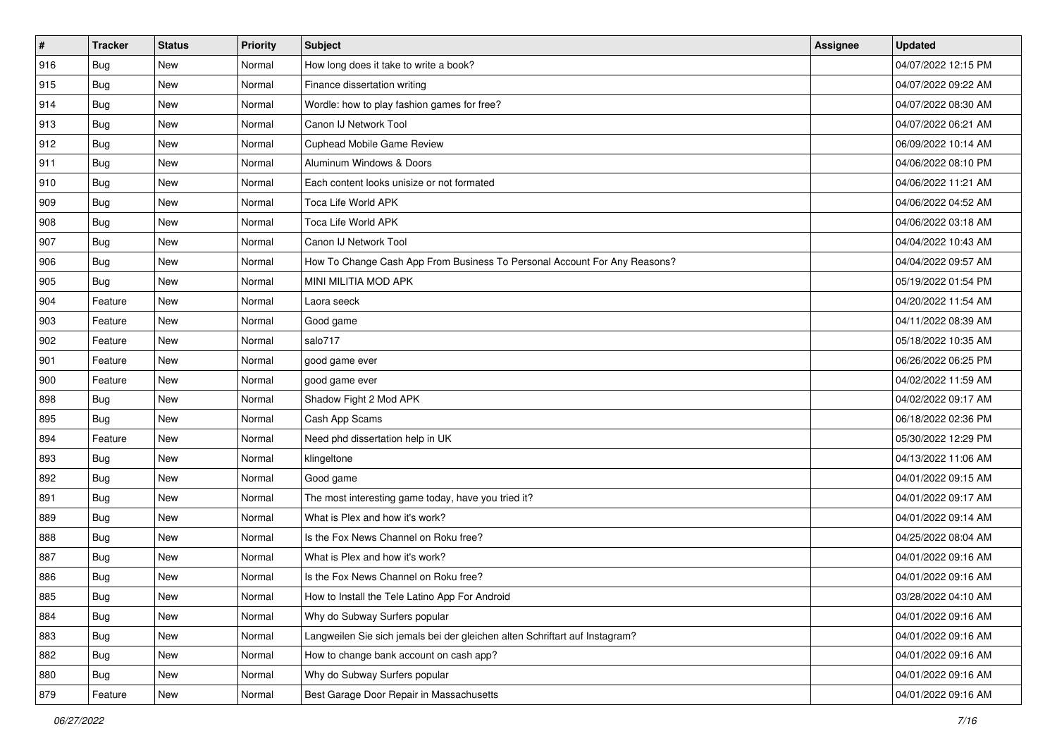| $\pmb{\#}$ | <b>Tracker</b> | <b>Status</b> | <b>Priority</b> | Subject                                                                     | Assignee | <b>Updated</b>      |
|------------|----------------|---------------|-----------------|-----------------------------------------------------------------------------|----------|---------------------|
| 916        | <b>Bug</b>     | New           | Normal          | How long does it take to write a book?                                      |          | 04/07/2022 12:15 PM |
| 915        | <b>Bug</b>     | New           | Normal          | Finance dissertation writing                                                |          | 04/07/2022 09:22 AM |
| 914        | <b>Bug</b>     | New           | Normal          | Wordle: how to play fashion games for free?                                 |          | 04/07/2022 08:30 AM |
| 913        | Bug            | <b>New</b>    | Normal          | Canon IJ Network Tool                                                       |          | 04/07/2022 06:21 AM |
| 912        | Bug            | <b>New</b>    | Normal          | Cuphead Mobile Game Review                                                  |          | 06/09/2022 10:14 AM |
| 911        | Bug            | New           | Normal          | Aluminum Windows & Doors                                                    |          | 04/06/2022 08:10 PM |
| 910        | <b>Bug</b>     | New           | Normal          | Each content looks unisize or not formated                                  |          | 04/06/2022 11:21 AM |
| 909        | <b>Bug</b>     | New           | Normal          | Toca Life World APK                                                         |          | 04/06/2022 04:52 AM |
| 908        | <b>Bug</b>     | <b>New</b>    | Normal          | Toca Life World APK                                                         |          | 04/06/2022 03:18 AM |
| 907        | Bug            | <b>New</b>    | Normal          | Canon IJ Network Tool                                                       |          | 04/04/2022 10:43 AM |
| 906        | <b>Bug</b>     | New           | Normal          | How To Change Cash App From Business To Personal Account For Any Reasons?   |          | 04/04/2022 09:57 AM |
| 905        | <b>Bug</b>     | New           | Normal          | MINI MILITIA MOD APK                                                        |          | 05/19/2022 01:54 PM |
| 904        | Feature        | <b>New</b>    | Normal          | Laora seeck                                                                 |          | 04/20/2022 11:54 AM |
| 903        | Feature        | <b>New</b>    | Normal          | Good game                                                                   |          | 04/11/2022 08:39 AM |
| 902        | Feature        | <b>New</b>    | Normal          | salo717                                                                     |          | 05/18/2022 10:35 AM |
| 901        | Feature        | New           | Normal          | good game ever                                                              |          | 06/26/2022 06:25 PM |
| 900        | Feature        | New           | Normal          | good game ever                                                              |          | 04/02/2022 11:59 AM |
| 898        | Bug            | <b>New</b>    | Normal          | Shadow Fight 2 Mod APK                                                      |          | 04/02/2022 09:17 AM |
| 895        | Bug            | New           | Normal          | Cash App Scams                                                              |          | 06/18/2022 02:36 PM |
| 894        | Feature        | <b>New</b>    | Normal          | Need phd dissertation help in UK                                            |          | 05/30/2022 12:29 PM |
| 893        | <b>Bug</b>     | New           | Normal          | klingeltone                                                                 |          | 04/13/2022 11:06 AM |
| 892        | <b>Bug</b>     | New           | Normal          | Good game                                                                   |          | 04/01/2022 09:15 AM |
| 891        | Bug            | <b>New</b>    | Normal          | The most interesting game today, have you tried it?                         |          | 04/01/2022 09:17 AM |
| 889        | <b>Bug</b>     | New           | Normal          | What is Plex and how it's work?                                             |          | 04/01/2022 09:14 AM |
| 888        | <b>Bug</b>     | New           | Normal          | Is the Fox News Channel on Roku free?                                       |          | 04/25/2022 08:04 AM |
| 887        | Bug            | New           | Normal          | What is Plex and how it's work?                                             |          | 04/01/2022 09:16 AM |
| 886        | <b>Bug</b>     | New           | Normal          | Is the Fox News Channel on Roku free?                                       |          | 04/01/2022 09:16 AM |
| 885        | Bug            | New           | Normal          | How to Install the Tele Latino App For Android                              |          | 03/28/2022 04:10 AM |
| 884        | <b>Bug</b>     | New           | Normal          | Why do Subway Surfers popular                                               |          | 04/01/2022 09:16 AM |
| 883        | <b>Bug</b>     | New           | Normal          | Langweilen Sie sich jemals bei der gleichen alten Schriftart auf Instagram? |          | 04/01/2022 09:16 AM |
| 882        | <b>Bug</b>     | New           | Normal          | How to change bank account on cash app?                                     |          | 04/01/2022 09:16 AM |
| 880        | <b>Bug</b>     | New           | Normal          | Why do Subway Surfers popular                                               |          | 04/01/2022 09:16 AM |
| 879        | Feature        | New           | Normal          | Best Garage Door Repair in Massachusetts                                    |          | 04/01/2022 09:16 AM |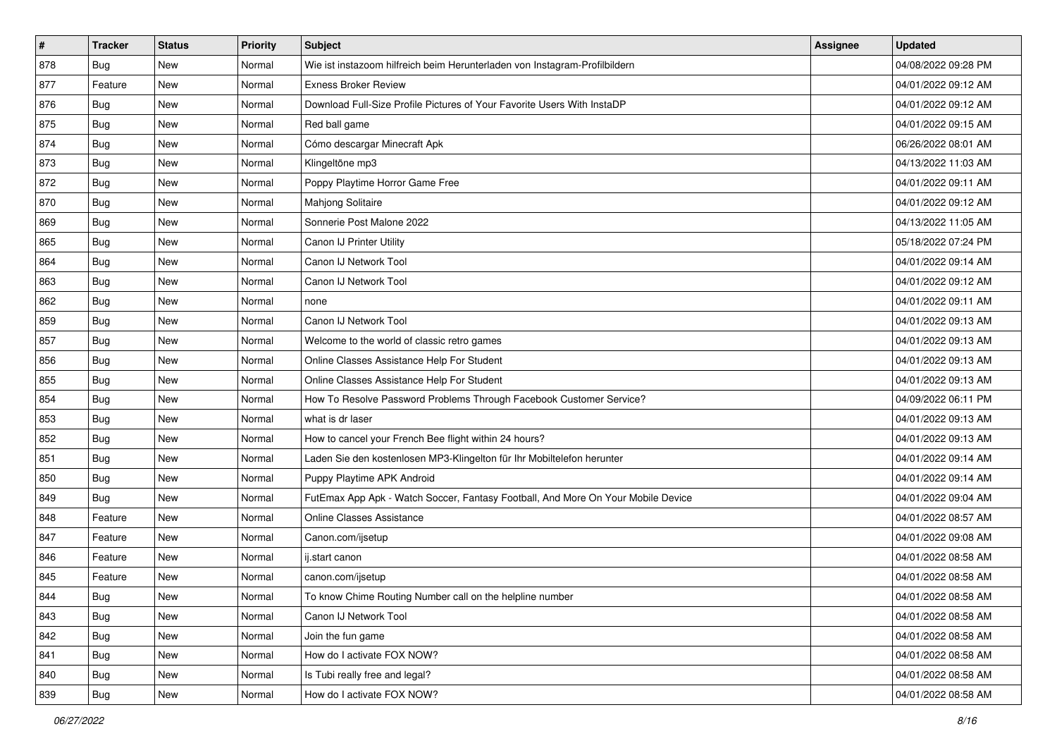| $\pmb{\#}$ | <b>Tracker</b> | <b>Status</b> | <b>Priority</b> | Subject                                                                          | Assignee | <b>Updated</b>      |
|------------|----------------|---------------|-----------------|----------------------------------------------------------------------------------|----------|---------------------|
| 878        | Bug            | New           | Normal          | Wie ist instazoom hilfreich beim Herunterladen von Instagram-Profilbildern       |          | 04/08/2022 09:28 PM |
| 877        | Feature        | <b>New</b>    | Normal          | <b>Exness Broker Review</b>                                                      |          | 04/01/2022 09:12 AM |
| 876        | Bug            | New           | Normal          | Download Full-Size Profile Pictures of Your Favorite Users With InstaDP          |          | 04/01/2022 09:12 AM |
| 875        | <b>Bug</b>     | <b>New</b>    | Normal          | Red ball game                                                                    |          | 04/01/2022 09:15 AM |
| 874        | <b>Bug</b>     | New           | Normal          | Cómo descargar Minecraft Apk                                                     |          | 06/26/2022 08:01 AM |
| 873        | <b>Bug</b>     | New           | Normal          | Klingeltöne mp3                                                                  |          | 04/13/2022 11:03 AM |
| 872        | Bug            | New           | Normal          | Poppy Playtime Horror Game Free                                                  |          | 04/01/2022 09:11 AM |
| 870        | Bug            | <b>New</b>    | Normal          | Mahjong Solitaire                                                                |          | 04/01/2022 09:12 AM |
| 869        | Bug            | New           | Normal          | Sonnerie Post Malone 2022                                                        |          | 04/13/2022 11:05 AM |
| 865        | <b>Bug</b>     | <b>New</b>    | Normal          | Canon IJ Printer Utility                                                         |          | 05/18/2022 07:24 PM |
| 864        | <b>Bug</b>     | New           | Normal          | Canon IJ Network Tool                                                            |          | 04/01/2022 09:14 AM |
| 863        | Bug            | New           | Normal          | Canon IJ Network Tool                                                            |          | 04/01/2022 09:12 AM |
| 862        | Bug            | New           | Normal          | none                                                                             |          | 04/01/2022 09:11 AM |
| 859        | <b>Bug</b>     | New           | Normal          | Canon IJ Network Tool                                                            |          | 04/01/2022 09:13 AM |
| 857        | <b>Bug</b>     | New           | Normal          | Welcome to the world of classic retro games                                      |          | 04/01/2022 09:13 AM |
| 856        | <b>Bug</b>     | New           | Normal          | Online Classes Assistance Help For Student                                       |          | 04/01/2022 09:13 AM |
| 855        | <b>Bug</b>     | <b>New</b>    | Normal          | Online Classes Assistance Help For Student                                       |          | 04/01/2022 09:13 AM |
| 854        | <b>Bug</b>     | New           | Normal          | How To Resolve Password Problems Through Facebook Customer Service?              |          | 04/09/2022 06:11 PM |
| 853        | <b>Bug</b>     | New           | Normal          | what is dr laser                                                                 |          | 04/01/2022 09:13 AM |
| 852        | <b>Bug</b>     | New           | Normal          | How to cancel your French Bee flight within 24 hours?                            |          | 04/01/2022 09:13 AM |
| 851        | Bug            | New           | Normal          | Laden Sie den kostenlosen MP3-Klingelton für Ihr Mobiltelefon herunter           |          | 04/01/2022 09:14 AM |
| 850        | <b>Bug</b>     | New           | Normal          | Puppy Playtime APK Android                                                       |          | 04/01/2022 09:14 AM |
| 849        | <b>Bug</b>     | <b>New</b>    | Normal          | FutEmax App Apk - Watch Soccer, Fantasy Football, And More On Your Mobile Device |          | 04/01/2022 09:04 AM |
| 848        | Feature        | New           | Normal          | <b>Online Classes Assistance</b>                                                 |          | 04/01/2022 08:57 AM |
| 847        | Feature        | New           | Normal          | Canon.com/ijsetup                                                                |          | 04/01/2022 09:08 AM |
| 846        | Feature        | <b>New</b>    | Normal          | ij.start canon                                                                   |          | 04/01/2022 08:58 AM |
| 845        | Feature        | New           | Normal          | canon.com/ijsetup                                                                |          | 04/01/2022 08:58 AM |
| 844        | Bug            | New           | Normal          | To know Chime Routing Number call on the helpline number                         |          | 04/01/2022 08:58 AM |
| 843        | <b>Bug</b>     | New           | Normal          | Canon IJ Network Tool                                                            |          | 04/01/2022 08:58 AM |
| 842        | <b>Bug</b>     | New           | Normal          | Join the fun game                                                                |          | 04/01/2022 08:58 AM |
| 841        | Bug            | New           | Normal          | How do I activate FOX NOW?                                                       |          | 04/01/2022 08:58 AM |
| 840        | <b>Bug</b>     | New           | Normal          | Is Tubi really free and legal?                                                   |          | 04/01/2022 08:58 AM |
| 839        | <b>Bug</b>     | New           | Normal          | How do I activate FOX NOW?                                                       |          | 04/01/2022 08:58 AM |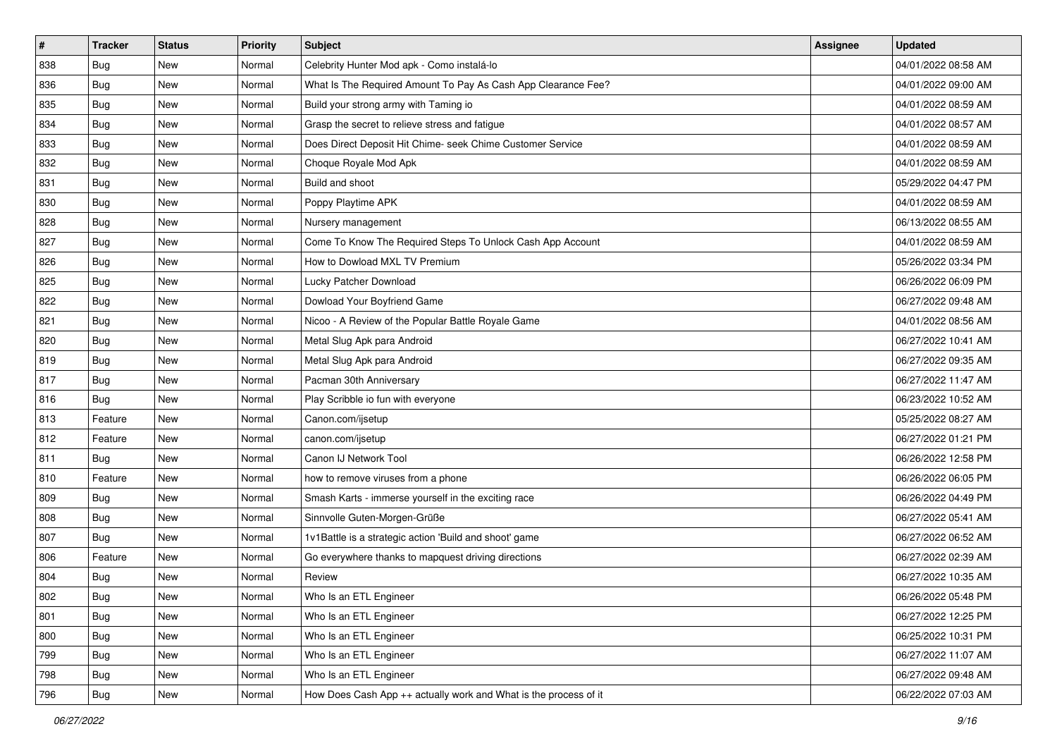| $\sharp$ | <b>Tracker</b> | <b>Status</b> | <b>Priority</b> | <b>Subject</b>                                                   | <b>Assignee</b> | <b>Updated</b>      |
|----------|----------------|---------------|-----------------|------------------------------------------------------------------|-----------------|---------------------|
| 838      | Bug            | New           | Normal          | Celebrity Hunter Mod apk - Como instalá-lo                       |                 | 04/01/2022 08:58 AM |
| 836      | Bug            | New           | Normal          | What Is The Required Amount To Pay As Cash App Clearance Fee?    |                 | 04/01/2022 09:00 AM |
| 835      | <b>Bug</b>     | New           | Normal          | Build your strong army with Taming io                            |                 | 04/01/2022 08:59 AM |
| 834      | Bug            | New           | Normal          | Grasp the secret to relieve stress and fatigue                   |                 | 04/01/2022 08:57 AM |
| 833      | Bug            | <b>New</b>    | Normal          | Does Direct Deposit Hit Chime- seek Chime Customer Service       |                 | 04/01/2022 08:59 AM |
| 832      | Bug            | New           | Normal          | Choque Royale Mod Apk                                            |                 | 04/01/2022 08:59 AM |
| 831      | Bug            | New           | Normal          | Build and shoot                                                  |                 | 05/29/2022 04:47 PM |
| 830      | <b>Bug</b>     | New           | Normal          | Poppy Playtime APK                                               |                 | 04/01/2022 08:59 AM |
| 828      | Bug            | New           | Normal          | Nursery management                                               |                 | 06/13/2022 08:55 AM |
| 827      | Bug            | New           | Normal          | Come To Know The Required Steps To Unlock Cash App Account       |                 | 04/01/2022 08:59 AM |
| 826      | <b>Bug</b>     | New           | Normal          | How to Dowload MXL TV Premium                                    |                 | 05/26/2022 03:34 PM |
| 825      | Bug            | New           | Normal          | Lucky Patcher Download                                           |                 | 06/26/2022 06:09 PM |
| 822      | <b>Bug</b>     | <b>New</b>    | Normal          | Dowload Your Boyfriend Game                                      |                 | 06/27/2022 09:48 AM |
| 821      | Bug            | New           | Normal          | Nicoo - A Review of the Popular Battle Royale Game               |                 | 04/01/2022 08:56 AM |
| 820      | Bug            | New           | Normal          | Metal Slug Apk para Android                                      |                 | 06/27/2022 10:41 AM |
| 819      | <b>Bug</b>     | New           | Normal          | Metal Slug Apk para Android                                      |                 | 06/27/2022 09:35 AM |
| 817      | Bug            | New           | Normal          | Pacman 30th Anniversary                                          |                 | 06/27/2022 11:47 AM |
| 816      | <b>Bug</b>     | <b>New</b>    | Normal          | Play Scribble io fun with everyone                               |                 | 06/23/2022 10:52 AM |
| 813      | Feature        | New           | Normal          | Canon.com/ijsetup                                                |                 | 05/25/2022 08:27 AM |
| 812      | Feature        | New           | Normal          | canon.com/ijsetup                                                |                 | 06/27/2022 01:21 PM |
| 811      | Bug            | New           | Normal          | Canon IJ Network Tool                                            |                 | 06/26/2022 12:58 PM |
| 810      | Feature        | New           | Normal          | how to remove viruses from a phone                               |                 | 06/26/2022 06:05 PM |
| 809      | Bug            | New           | Normal          | Smash Karts - immerse yourself in the exciting race              |                 | 06/26/2022 04:49 PM |
| 808      | <b>Bug</b>     | New           | Normal          | Sinnvolle Guten-Morgen-Grüße                                     |                 | 06/27/2022 05:41 AM |
| 807      | Bug            | New           | Normal          | 1v1Battle is a strategic action 'Build and shoot' game           |                 | 06/27/2022 06:52 AM |
| 806      | Feature        | New           | Normal          | Go everywhere thanks to mapquest driving directions              |                 | 06/27/2022 02:39 AM |
| 804      | <b>Bug</b>     | New           | Normal          | Review                                                           |                 | 06/27/2022 10:35 AM |
| 802      | <b>Bug</b>     | New           | Normal          | Who Is an ETL Engineer                                           |                 | 06/26/2022 05:48 PM |
| 801      | <b>Bug</b>     | New           | Normal          | Who Is an ETL Engineer                                           |                 | 06/27/2022 12:25 PM |
| 800      | <b>Bug</b>     | New           | Normal          | Who Is an ETL Engineer                                           |                 | 06/25/2022 10:31 PM |
| 799      | <b>Bug</b>     | New           | Normal          | Who Is an ETL Engineer                                           |                 | 06/27/2022 11:07 AM |
| 798      | <b>Bug</b>     | New           | Normal          | Who Is an ETL Engineer                                           |                 | 06/27/2022 09:48 AM |
| 796      | <b>Bug</b>     | New           | Normal          | How Does Cash App ++ actually work and What is the process of it |                 | 06/22/2022 07:03 AM |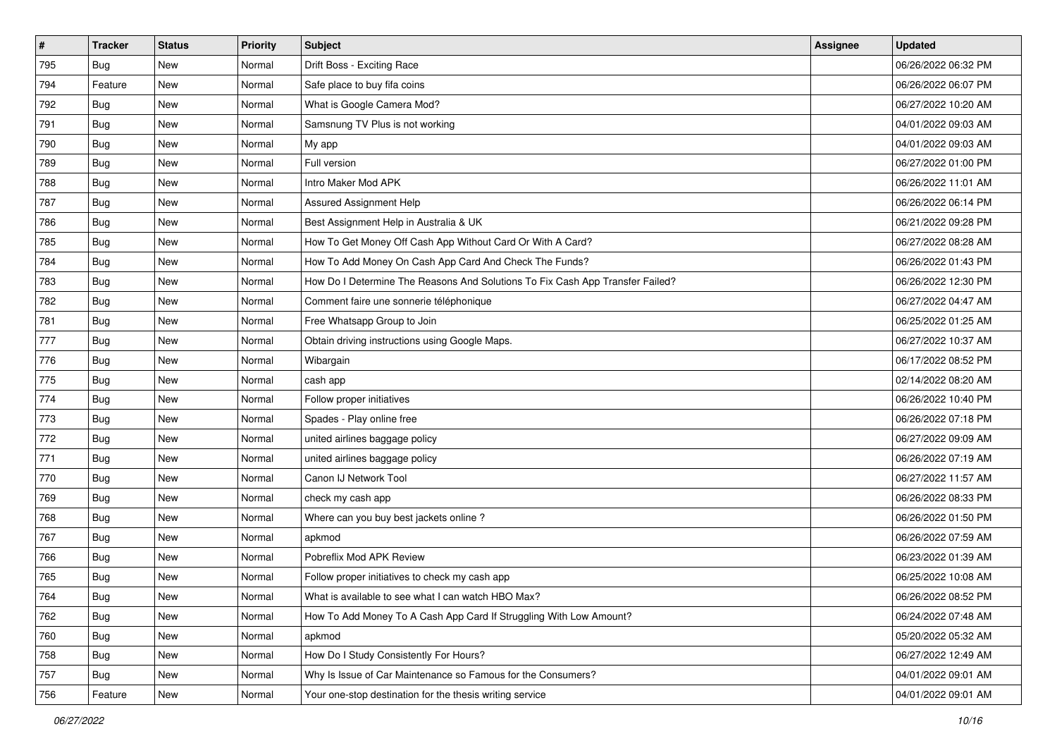| $\sharp$ | <b>Tracker</b> | <b>Status</b> | <b>Priority</b> | <b>Subject</b>                                                                | Assignee | <b>Updated</b>      |
|----------|----------------|---------------|-----------------|-------------------------------------------------------------------------------|----------|---------------------|
| 795      | Bug            | New           | Normal          | Drift Boss - Exciting Race                                                    |          | 06/26/2022 06:32 PM |
| 794      | Feature        | New           | Normal          | Safe place to buy fifa coins                                                  |          | 06/26/2022 06:07 PM |
| 792      | <b>Bug</b>     | New           | Normal          | What is Google Camera Mod?                                                    |          | 06/27/2022 10:20 AM |
| 791      | Bug            | New           | Normal          | Samsnung TV Plus is not working                                               |          | 04/01/2022 09:03 AM |
| 790      | Bug            | <b>New</b>    | Normal          | My app                                                                        |          | 04/01/2022 09:03 AM |
| 789      | Bug            | New           | Normal          | Full version                                                                  |          | 06/27/2022 01:00 PM |
| 788      | <b>Bug</b>     | New           | Normal          | Intro Maker Mod APK                                                           |          | 06/26/2022 11:01 AM |
| 787      | Bug            | New           | Normal          | Assured Assignment Help                                                       |          | 06/26/2022 06:14 PM |
| 786      | Bug            | New           | Normal          | Best Assignment Help in Australia & UK                                        |          | 06/21/2022 09:28 PM |
| 785      | Bug            | <b>New</b>    | Normal          | How To Get Money Off Cash App Without Card Or With A Card?                    |          | 06/27/2022 08:28 AM |
| 784      | <b>Bug</b>     | New           | Normal          | How To Add Money On Cash App Card And Check The Funds?                        |          | 06/26/2022 01:43 PM |
| 783      | Bug            | New           | Normal          | How Do I Determine The Reasons And Solutions To Fix Cash App Transfer Failed? |          | 06/26/2022 12:30 PM |
| 782      | Bug            | <b>New</b>    | Normal          | Comment faire une sonnerie téléphonique                                       |          | 06/27/2022 04:47 AM |
| 781      | <b>Bug</b>     | New           | Normal          | Free Whatsapp Group to Join                                                   |          | 06/25/2022 01:25 AM |
| 777      | <b>Bug</b>     | New           | Normal          | Obtain driving instructions using Google Maps.                                |          | 06/27/2022 10:37 AM |
| 776      | <b>Bug</b>     | New           | Normal          | Wibargain                                                                     |          | 06/17/2022 08:52 PM |
| 775      | Bug            | New           | Normal          | cash app                                                                      |          | 02/14/2022 08:20 AM |
| 774      | Bug            | <b>New</b>    | Normal          | Follow proper initiatives                                                     |          | 06/26/2022 10:40 PM |
| 773      | Bug            | New           | Normal          | Spades - Play online free                                                     |          | 06/26/2022 07:18 PM |
| 772      | <b>Bug</b>     | New           | Normal          | united airlines baggage policy                                                |          | 06/27/2022 09:09 AM |
| 771      | Bug            | New           | Normal          | united airlines baggage policy                                                |          | 06/26/2022 07:19 AM |
| 770      | Bug            | New           | Normal          | Canon IJ Network Tool                                                         |          | 06/27/2022 11:57 AM |
| 769      | Bug            | <b>New</b>    | Normal          | check my cash app                                                             |          | 06/26/2022 08:33 PM |
| 768      | <b>Bug</b>     | New           | Normal          | Where can you buy best jackets online?                                        |          | 06/26/2022 01:50 PM |
| 767      | Bug            | New           | Normal          | apkmod                                                                        |          | 06/26/2022 07:59 AM |
| 766      | Bug            | <b>New</b>    | Normal          | Pobreflix Mod APK Review                                                      |          | 06/23/2022 01:39 AM |
| 765      | <b>Bug</b>     | New           | Normal          | Follow proper initiatives to check my cash app                                |          | 06/25/2022 10:08 AM |
| 764      | I Bug          | New           | Normal          | What is available to see what I can watch HBO Max?                            |          | 06/26/2022 08:52 PM |
| 762      | <b>Bug</b>     | New           | Normal          | How To Add Money To A Cash App Card If Struggling With Low Amount?            |          | 06/24/2022 07:48 AM |
| 760      | Bug            | New           | Normal          | apkmod                                                                        |          | 05/20/2022 05:32 AM |
| 758      | <b>Bug</b>     | New           | Normal          | How Do I Study Consistently For Hours?                                        |          | 06/27/2022 12:49 AM |
| 757      | Bug            | New           | Normal          | Why Is Issue of Car Maintenance so Famous for the Consumers?                  |          | 04/01/2022 09:01 AM |
| 756      | Feature        | New           | Normal          | Your one-stop destination for the thesis writing service                      |          | 04/01/2022 09:01 AM |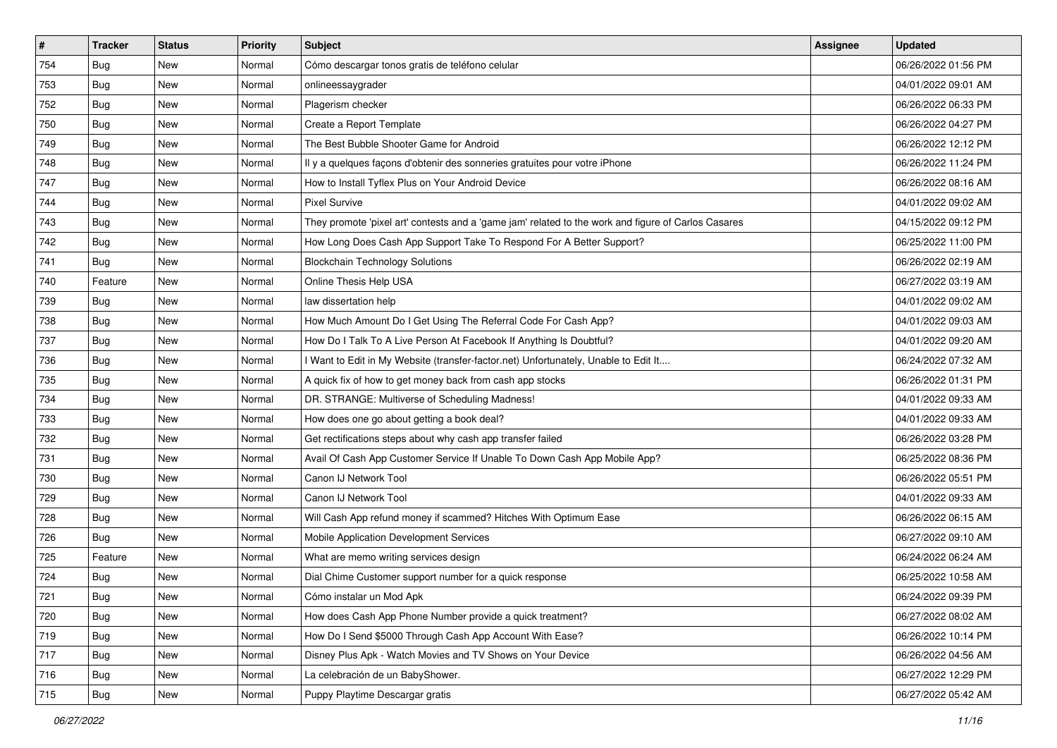| $\vert$ # | <b>Tracker</b> | <b>Status</b> | <b>Priority</b> | Subject                                                                                             | <b>Assignee</b> | <b>Updated</b>      |
|-----------|----------------|---------------|-----------------|-----------------------------------------------------------------------------------------------------|-----------------|---------------------|
| 754       | Bug            | New           | Normal          | Cómo descargar tonos gratis de teléfono celular                                                     |                 | 06/26/2022 01:56 PM |
| 753       | Bug            | <b>New</b>    | Normal          | onlineessaygrader                                                                                   |                 | 04/01/2022 09:01 AM |
| 752       | Bug            | New           | Normal          | Plagerism checker                                                                                   |                 | 06/26/2022 06:33 PM |
| 750       | <b>Bug</b>     | <b>New</b>    | Normal          | Create a Report Template                                                                            |                 | 06/26/2022 04:27 PM |
| 749       | Bug            | <b>New</b>    | Normal          | The Best Bubble Shooter Game for Android                                                            |                 | 06/26/2022 12:12 PM |
| 748       | Bug            | New           | Normal          | Il y a quelques façons d'obtenir des sonneries gratuites pour votre iPhone                          |                 | 06/26/2022 11:24 PM |
| 747       | <b>Bug</b>     | New           | Normal          | How to Install Tyflex Plus on Your Android Device                                                   |                 | 06/26/2022 08:16 AM |
| 744       | <b>Bug</b>     | New           | Normal          | <b>Pixel Survive</b>                                                                                |                 | 04/01/2022 09:02 AM |
| 743       | Bug            | <b>New</b>    | Normal          | They promote 'pixel art' contests and a 'game jam' related to the work and figure of Carlos Casares |                 | 04/15/2022 09:12 PM |
| 742       | <b>Bug</b>     | <b>New</b>    | Normal          | How Long Does Cash App Support Take To Respond For A Better Support?                                |                 | 06/25/2022 11:00 PM |
| 741       | Bug            | New           | Normal          | <b>Blockchain Technology Solutions</b>                                                              |                 | 06/26/2022 02:19 AM |
| 740       | Feature        | <b>New</b>    | Normal          | Online Thesis Help USA                                                                              |                 | 06/27/2022 03:19 AM |
| 739       | Bug            | New           | Normal          | law dissertation help                                                                               |                 | 04/01/2022 09:02 AM |
| 738       | Bug            | <b>New</b>    | Normal          | How Much Amount Do I Get Using The Referral Code For Cash App?                                      |                 | 04/01/2022 09:03 AM |
| 737       | Bug            | <b>New</b>    | Normal          | How Do I Talk To A Live Person At Facebook If Anything Is Doubtful?                                 |                 | 04/01/2022 09:20 AM |
| 736       | Bug            | New           | Normal          | I Want to Edit in My Website (transfer-factor.net) Unfortunately, Unable to Edit It                 |                 | 06/24/2022 07:32 AM |
| 735       | <b>Bug</b>     | <b>New</b>    | Normal          | A quick fix of how to get money back from cash app stocks                                           |                 | 06/26/2022 01:31 PM |
| 734       | Bug            | <b>New</b>    | Normal          | DR. STRANGE: Multiverse of Scheduling Madness!                                                      |                 | 04/01/2022 09:33 AM |
| 733       | Bug            | New           | Normal          | How does one go about getting a book deal?                                                          |                 | 04/01/2022 09:33 AM |
| 732       | Bug            | <b>New</b>    | Normal          | Get rectifications steps about why cash app transfer failed                                         |                 | 06/26/2022 03:28 PM |
| 731       | Bug            | New           | Normal          | Avail Of Cash App Customer Service If Unable To Down Cash App Mobile App?                           |                 | 06/25/2022 08:36 PM |
| 730       | <b>Bug</b>     | <b>New</b>    | Normal          | Canon IJ Network Tool                                                                               |                 | 06/26/2022 05:51 PM |
| 729       | Bug            | <b>New</b>    | Normal          | Canon IJ Network Tool                                                                               |                 | 04/01/2022 09:33 AM |
| 728       | <b>Bug</b>     | New           | Normal          | Will Cash App refund money if scammed? Hitches With Optimum Ease                                    |                 | 06/26/2022 06:15 AM |
| 726       | Bug            | <b>New</b>    | Normal          | Mobile Application Development Services                                                             |                 | 06/27/2022 09:10 AM |
| 725       | Feature        | New           | Normal          | What are memo writing services design                                                               |                 | 06/24/2022 06:24 AM |
| 724       | <b>Bug</b>     | New           | Normal          | Dial Chime Customer support number for a quick response                                             |                 | 06/25/2022 10:58 AM |
| 721       | <b>Bug</b>     | New           | Normal          | Cómo instalar un Mod Apk                                                                            |                 | 06/24/2022 09:39 PM |
| 720       | <b>Bug</b>     | New           | Normal          | How does Cash App Phone Number provide a quick treatment?                                           |                 | 06/27/2022 08:02 AM |
| 719       | Bug            | New           | Normal          | How Do I Send \$5000 Through Cash App Account With Ease?                                            |                 | 06/26/2022 10:14 PM |
| 717       | Bug            | New           | Normal          | Disney Plus Apk - Watch Movies and TV Shows on Your Device                                          |                 | 06/26/2022 04:56 AM |
| 716       | Bug            | New           | Normal          | La celebración de un BabyShower.                                                                    |                 | 06/27/2022 12:29 PM |
| 715       | <b>Bug</b>     | New           | Normal          | Puppy Playtime Descargar gratis                                                                     |                 | 06/27/2022 05:42 AM |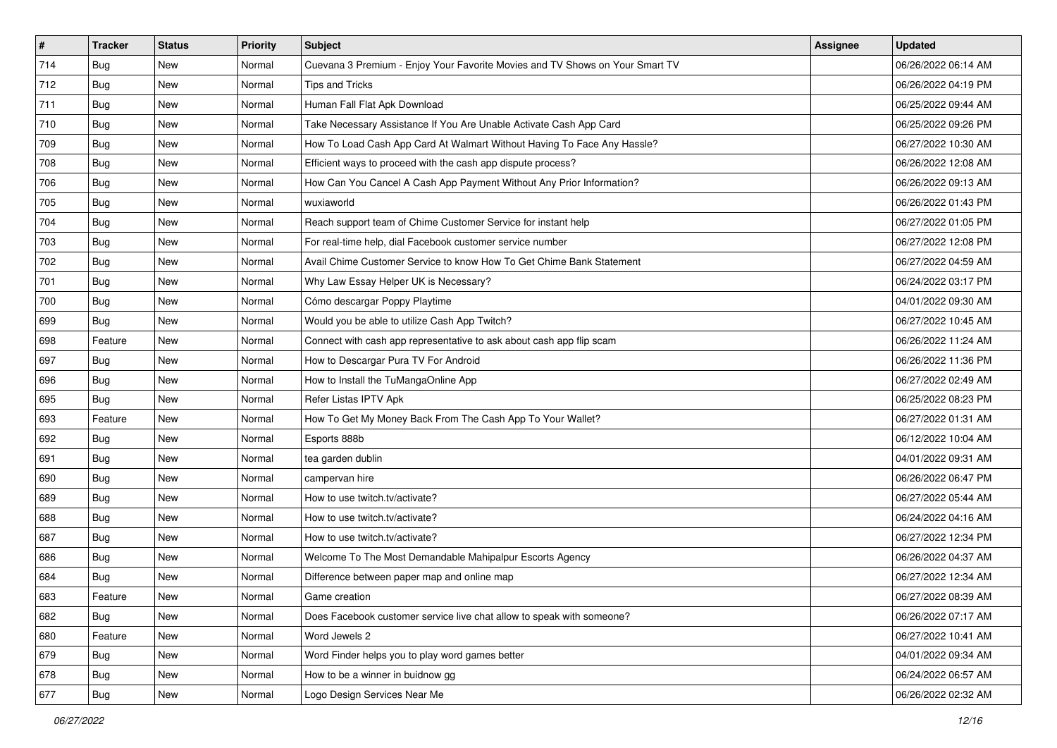| #   | <b>Tracker</b> | <b>Status</b> | <b>Priority</b> | <b>Subject</b>                                                               | <b>Assignee</b> | <b>Updated</b>      |
|-----|----------------|---------------|-----------------|------------------------------------------------------------------------------|-----------------|---------------------|
| 714 | Bug            | <b>New</b>    | Normal          | Cuevana 3 Premium - Enjoy Your Favorite Movies and TV Shows on Your Smart TV |                 | 06/26/2022 06:14 AM |
| 712 | Bug            | New           | Normal          | <b>Tips and Tricks</b>                                                       |                 | 06/26/2022 04:19 PM |
| 711 | Bug            | New           | Normal          | Human Fall Flat Apk Download                                                 |                 | 06/25/2022 09:44 AM |
| 710 | Bug            | New           | Normal          | Take Necessary Assistance If You Are Unable Activate Cash App Card           |                 | 06/25/2022 09:26 PM |
| 709 | Bug            | New           | Normal          | How To Load Cash App Card At Walmart Without Having To Face Any Hassle?      |                 | 06/27/2022 10:30 AM |
| 708 | Bug            | <b>New</b>    | Normal          | Efficient ways to proceed with the cash app dispute process?                 |                 | 06/26/2022 12:08 AM |
| 706 | Bug            | New           | Normal          | How Can You Cancel A Cash App Payment Without Any Prior Information?         |                 | 06/26/2022 09:13 AM |
| 705 | Bug            | <b>New</b>    | Normal          | wuxiaworld                                                                   |                 | 06/26/2022 01:43 PM |
| 704 | Bug            | New           | Normal          | Reach support team of Chime Customer Service for instant help                |                 | 06/27/2022 01:05 PM |
| 703 | Bug            | <b>New</b>    | Normal          | For real-time help, dial Facebook customer service number                    |                 | 06/27/2022 12:08 PM |
| 702 | Bug            | New           | Normal          | Avail Chime Customer Service to know How To Get Chime Bank Statement         |                 | 06/27/2022 04:59 AM |
| 701 | Bug            | <b>New</b>    | Normal          | Why Law Essay Helper UK is Necessary?                                        |                 | 06/24/2022 03:17 PM |
| 700 | Bug            | <b>New</b>    | Normal          | Cómo descargar Poppy Playtime                                                |                 | 04/01/2022 09:30 AM |
| 699 | Bug            | New           | Normal          | Would you be able to utilize Cash App Twitch?                                |                 | 06/27/2022 10:45 AM |
| 698 | Feature        | <b>New</b>    | Normal          | Connect with cash app representative to ask about cash app flip scam         |                 | 06/26/2022 11:24 AM |
| 697 | Bug            | New           | Normal          | How to Descargar Pura TV For Android                                         |                 | 06/26/2022 11:36 PM |
| 696 | Bug            | New           | Normal          | How to Install the TuMangaOnline App                                         |                 | 06/27/2022 02:49 AM |
| 695 | <b>Bug</b>     | New           | Normal          | Refer Listas IPTV Apk                                                        |                 | 06/25/2022 08:23 PM |
| 693 | Feature        | New           | Normal          | How To Get My Money Back From The Cash App To Your Wallet?                   |                 | 06/27/2022 01:31 AM |
| 692 | Bug            | New           | Normal          | Esports 888b                                                                 |                 | 06/12/2022 10:04 AM |
| 691 | Bug            | <b>New</b>    | Normal          | tea garden dublin                                                            |                 | 04/01/2022 09:31 AM |
| 690 | Bug            | New           | Normal          | campervan hire                                                               |                 | 06/26/2022 06:47 PM |
| 689 | Bug            | New           | Normal          | How to use twitch.tv/activate?                                               |                 | 06/27/2022 05:44 AM |
| 688 | Bug            | New           | Normal          | How to use twitch.tv/activate?                                               |                 | 06/24/2022 04:16 AM |
| 687 | Bug            | New           | Normal          | How to use twitch.tv/activate?                                               |                 | 06/27/2022 12:34 PM |
| 686 | Bug            | <b>New</b>    | Normal          | Welcome To The Most Demandable Mahipalpur Escorts Agency                     |                 | 06/26/2022 04:37 AM |
| 684 | Bug            | New           | Normal          | Difference between paper map and online map                                  |                 | 06/27/2022 12:34 AM |
| 683 | Feature        | New           | Normal          | Game creation                                                                |                 | 06/27/2022 08:39 AM |
| 682 | Bug            | New           | Normal          | Does Facebook customer service live chat allow to speak with someone?        |                 | 06/26/2022 07:17 AM |
| 680 | Feature        | New           | Normal          | Word Jewels 2                                                                |                 | 06/27/2022 10:41 AM |
| 679 | <b>Bug</b>     | New           | Normal          | Word Finder helps you to play word games better                              |                 | 04/01/2022 09:34 AM |
| 678 | Bug            | New           | Normal          | How to be a winner in buidnow gg                                             |                 | 06/24/2022 06:57 AM |
| 677 | <b>Bug</b>     | New           | Normal          | Logo Design Services Near Me                                                 |                 | 06/26/2022 02:32 AM |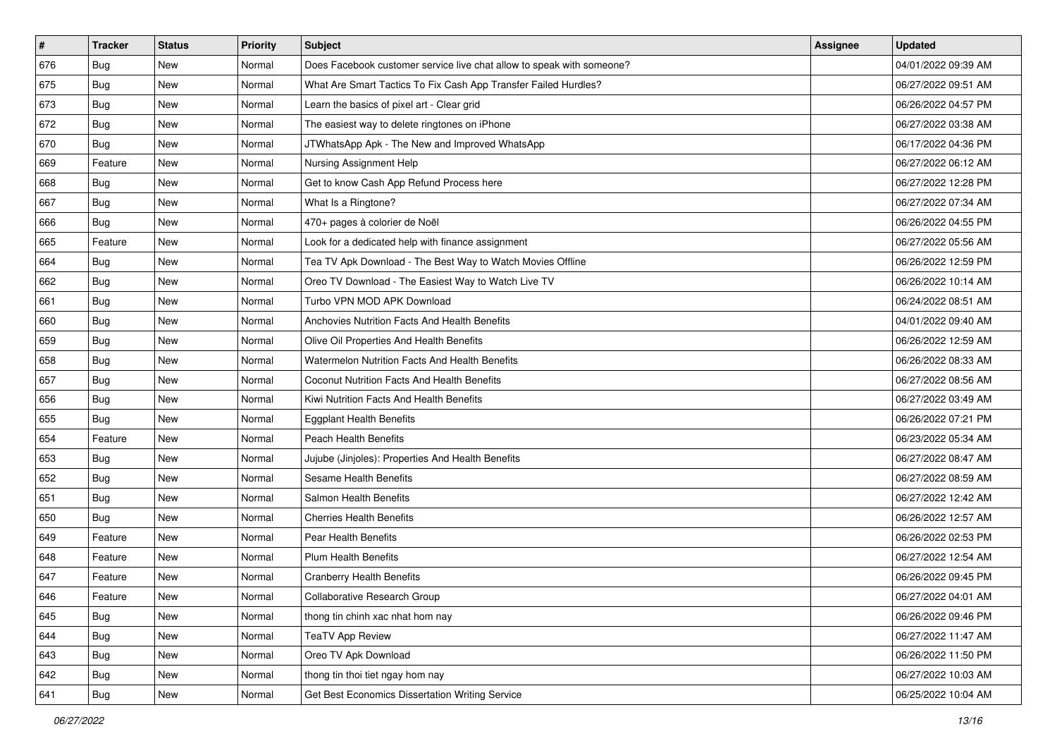| $\sharp$ | <b>Tracker</b> | <b>Status</b> | <b>Priority</b> | Subject                                                               | <b>Assignee</b> | <b>Updated</b>      |
|----------|----------------|---------------|-----------------|-----------------------------------------------------------------------|-----------------|---------------------|
| 676      | Bug            | New           | Normal          | Does Facebook customer service live chat allow to speak with someone? |                 | 04/01/2022 09:39 AM |
| 675      | <b>Bug</b>     | New           | Normal          | What Are Smart Tactics To Fix Cash App Transfer Failed Hurdles?       |                 | 06/27/2022 09:51 AM |
| 673      | <b>Bug</b>     | New           | Normal          | Learn the basics of pixel art - Clear grid                            |                 | 06/26/2022 04:57 PM |
| 672      | Bug            | New           | Normal          | The easiest way to delete ringtones on iPhone                         |                 | 06/27/2022 03:38 AM |
| 670      | <b>Bug</b>     | <b>New</b>    | Normal          | JTWhatsApp Apk - The New and Improved WhatsApp                        |                 | 06/17/2022 04:36 PM |
| 669      | Feature        | New           | Normal          | Nursing Assignment Help                                               |                 | 06/27/2022 06:12 AM |
| 668      | <b>Bug</b>     | New           | Normal          | Get to know Cash App Refund Process here                              |                 | 06/27/2022 12:28 PM |
| 667      | <b>Bug</b>     | New           | Normal          | What Is a Ringtone?                                                   |                 | 06/27/2022 07:34 AM |
| 666      | <b>Bug</b>     | New           | Normal          | 470+ pages à colorier de Noël                                         |                 | 06/26/2022 04:55 PM |
| 665      | Feature        | New           | Normal          | Look for a dedicated help with finance assignment                     |                 | 06/27/2022 05:56 AM |
| 664      | <b>Bug</b>     | New           | Normal          | Tea TV Apk Download - The Best Way to Watch Movies Offline            |                 | 06/26/2022 12:59 PM |
| 662      | Bug            | New           | Normal          | Oreo TV Download - The Easiest Way to Watch Live TV                   |                 | 06/26/2022 10:14 AM |
| 661      | <b>Bug</b>     | <b>New</b>    | Normal          | Turbo VPN MOD APK Download                                            |                 | 06/24/2022 08:51 AM |
| 660      | Bug            | New           | Normal          | Anchovies Nutrition Facts And Health Benefits                         |                 | 04/01/2022 09:40 AM |
| 659      | Bug            | New           | Normal          | Olive Oil Properties And Health Benefits                              |                 | 06/26/2022 12:59 AM |
| 658      | <b>Bug</b>     | New           | Normal          | Watermelon Nutrition Facts And Health Benefits                        |                 | 06/26/2022 08:33 AM |
| 657      | Bug            | <b>New</b>    | Normal          | <b>Coconut Nutrition Facts And Health Benefits</b>                    |                 | 06/27/2022 08:56 AM |
| 656      | <b>Bug</b>     | <b>New</b>    | Normal          | Kiwi Nutrition Facts And Health Benefits                              |                 | 06/27/2022 03:49 AM |
| 655      | <b>Bug</b>     | New           | Normal          | <b>Eggplant Health Benefits</b>                                       |                 | 06/26/2022 07:21 PM |
| 654      | Feature        | New           | Normal          | <b>Peach Health Benefits</b>                                          |                 | 06/23/2022 05:34 AM |
| 653      | Bug            | New           | Normal          | Jujube (Jinjoles): Properties And Health Benefits                     |                 | 06/27/2022 08:47 AM |
| 652      | Bug            | New           | Normal          | Sesame Health Benefits                                                |                 | 06/27/2022 08:59 AM |
| 651      | Bug            | <b>New</b>    | Normal          | Salmon Health Benefits                                                |                 | 06/27/2022 12:42 AM |
| 650      | <b>Bug</b>     | New           | Normal          | <b>Cherries Health Benefits</b>                                       |                 | 06/26/2022 12:57 AM |
| 649      | Feature        | New           | Normal          | Pear Health Benefits                                                  |                 | 06/26/2022 02:53 PM |
| 648      | Feature        | New           | Normal          | <b>Plum Health Benefits</b>                                           |                 | 06/27/2022 12:54 AM |
| 647      | Feature        | New           | Normal          | <b>Cranberry Health Benefits</b>                                      |                 | 06/26/2022 09:45 PM |
| 646      | Feature        | New           | Normal          | Collaborative Research Group                                          |                 | 06/27/2022 04:01 AM |
| 645      | <b>Bug</b>     | New           | Normal          | thong tin chinh xac nhat hom nay                                      |                 | 06/26/2022 09:46 PM |
| 644      | Bug            | New           | Normal          | <b>TeaTV App Review</b>                                               |                 | 06/27/2022 11:47 AM |
| 643      | <b>Bug</b>     | New           | Normal          | Oreo TV Apk Download                                                  |                 | 06/26/2022 11:50 PM |
| 642      | Bug            | New           | Normal          | thong tin thoi tiet ngay hom nay                                      |                 | 06/27/2022 10:03 AM |
| 641      | <b>Bug</b>     | New           | Normal          | Get Best Economics Dissertation Writing Service                       |                 | 06/25/2022 10:04 AM |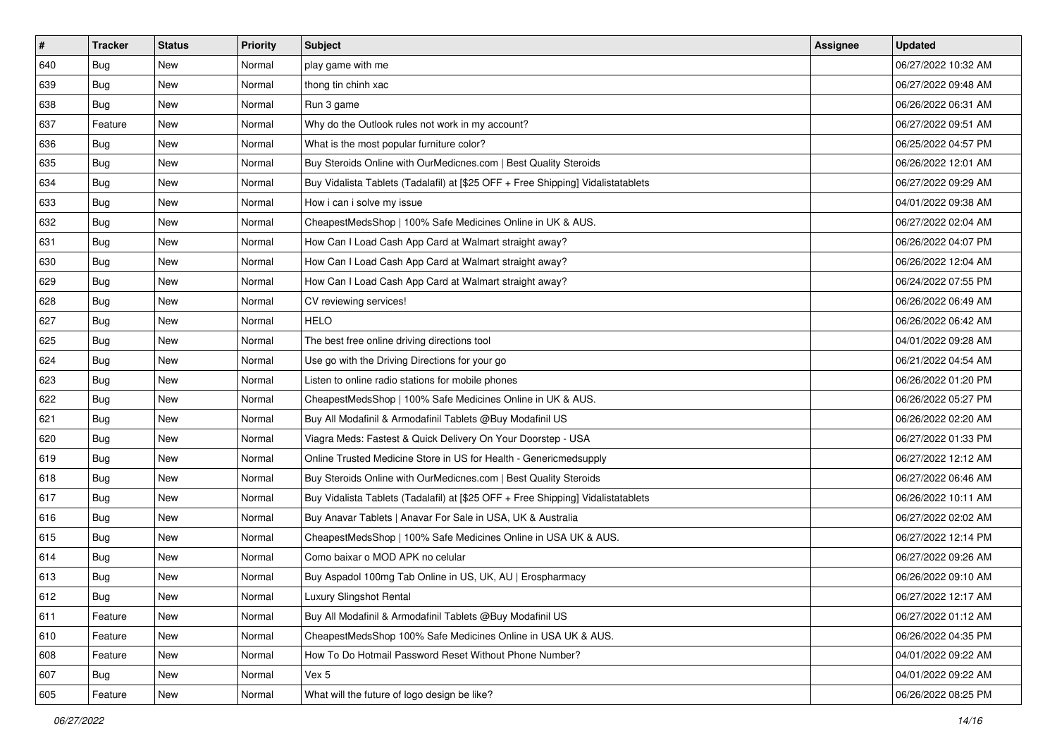| #   | <b>Tracker</b> | <b>Status</b> | <b>Priority</b> | Subject                                                                          | <b>Assignee</b> | <b>Updated</b>      |
|-----|----------------|---------------|-----------------|----------------------------------------------------------------------------------|-----------------|---------------------|
| 640 | Bug            | New           | Normal          | play game with me                                                                |                 | 06/27/2022 10:32 AM |
| 639 | Bug            | <b>New</b>    | Normal          | thong tin chinh xac                                                              |                 | 06/27/2022 09:48 AM |
| 638 | Bug            | New           | Normal          | Run 3 game                                                                       |                 | 06/26/2022 06:31 AM |
| 637 | Feature        | New           | Normal          | Why do the Outlook rules not work in my account?                                 |                 | 06/27/2022 09:51 AM |
| 636 | Bug            | <b>New</b>    | Normal          | What is the most popular furniture color?                                        |                 | 06/25/2022 04:57 PM |
| 635 | Bug            | New           | Normal          | Buy Steroids Online with OurMedicnes.com   Best Quality Steroids                 |                 | 06/26/2022 12:01 AM |
| 634 | Bug            | New           | Normal          | Buy Vidalista Tablets (Tadalafil) at [\$25 OFF + Free Shipping] Vidalistatablets |                 | 06/27/2022 09:29 AM |
| 633 | Bug            | New           | Normal          | How i can i solve my issue                                                       |                 | 04/01/2022 09:38 AM |
| 632 | Bug            | New           | Normal          | CheapestMedsShop   100% Safe Medicines Online in UK & AUS.                       |                 | 06/27/2022 02:04 AM |
| 631 | Bug            | <b>New</b>    | Normal          | How Can I Load Cash App Card at Walmart straight away?                           |                 | 06/26/2022 04:07 PM |
| 630 | Bug            | New           | Normal          | How Can I Load Cash App Card at Walmart straight away?                           |                 | 06/26/2022 12:04 AM |
| 629 | Bug            | New           | Normal          | How Can I Load Cash App Card at Walmart straight away?                           |                 | 06/24/2022 07:55 PM |
| 628 | Bug            | New           | Normal          | CV reviewing services!                                                           |                 | 06/26/2022 06:49 AM |
| 627 | Bug            | <b>New</b>    | Normal          | <b>HELO</b>                                                                      |                 | 06/26/2022 06:42 AM |
| 625 | Bug            | New           | Normal          | The best free online driving directions tool                                     |                 | 04/01/2022 09:28 AM |
| 624 | Bug            | New           | Normal          | Use go with the Driving Directions for your go                                   |                 | 06/21/2022 04:54 AM |
| 623 | Bug            | New           | Normal          | Listen to online radio stations for mobile phones                                |                 | 06/26/2022 01:20 PM |
| 622 | Bug            | <b>New</b>    | Normal          | CheapestMedsShop   100% Safe Medicines Online in UK & AUS.                       |                 | 06/26/2022 05:27 PM |
| 621 | Bug            | New           | Normal          | Buy All Modafinil & Armodafinil Tablets @Buy Modafinil US                        |                 | 06/26/2022 02:20 AM |
| 620 | Bug            | New           | Normal          | Viagra Meds: Fastest & Quick Delivery On Your Doorstep - USA                     |                 | 06/27/2022 01:33 PM |
| 619 | Bug            | New           | Normal          | Online Trusted Medicine Store in US for Health - Genericmedsupply                |                 | 06/27/2022 12:12 AM |
| 618 | Bug            | New           | Normal          | Buy Steroids Online with OurMedicnes.com   Best Quality Steroids                 |                 | 06/27/2022 06:46 AM |
| 617 | Bug            | <b>New</b>    | Normal          | Buy Vidalista Tablets (Tadalafil) at [\$25 OFF + Free Shipping] Vidalistatablets |                 | 06/26/2022 10:11 AM |
| 616 | <b>Bug</b>     | New           | Normal          | Buy Anavar Tablets   Anavar For Sale in USA, UK & Australia                      |                 | 06/27/2022 02:02 AM |
| 615 | Bug            | New           | Normal          | CheapestMedsShop   100% Safe Medicines Online in USA UK & AUS.                   |                 | 06/27/2022 12:14 PM |
| 614 | Bug            | New           | Normal          | Como baixar o MOD APK no celular                                                 |                 | 06/27/2022 09:26 AM |
| 613 | Bug            | <b>New</b>    | Normal          | Buy Aspadol 100mg Tab Online in US, UK, AU   Erospharmacy                        |                 | 06/26/2022 09:10 AM |
| 612 | I Bug          | New           | Normal          | Luxury Slingshot Rental                                                          |                 | 06/27/2022 12:17 AM |
| 611 | Feature        | New           | Normal          | Buy All Modafinil & Armodafinil Tablets @Buy Modafinil US                        |                 | 06/27/2022 01:12 AM |
| 610 | Feature        | New           | Normal          | CheapestMedsShop 100% Safe Medicines Online in USA UK & AUS.                     |                 | 06/26/2022 04:35 PM |
| 608 | Feature        | New           | Normal          | How To Do Hotmail Password Reset Without Phone Number?                           |                 | 04/01/2022 09:22 AM |
| 607 | <b>Bug</b>     | New           | Normal          | Vex 5                                                                            |                 | 04/01/2022 09:22 AM |
| 605 | Feature        | New           | Normal          | What will the future of logo design be like?                                     |                 | 06/26/2022 08:25 PM |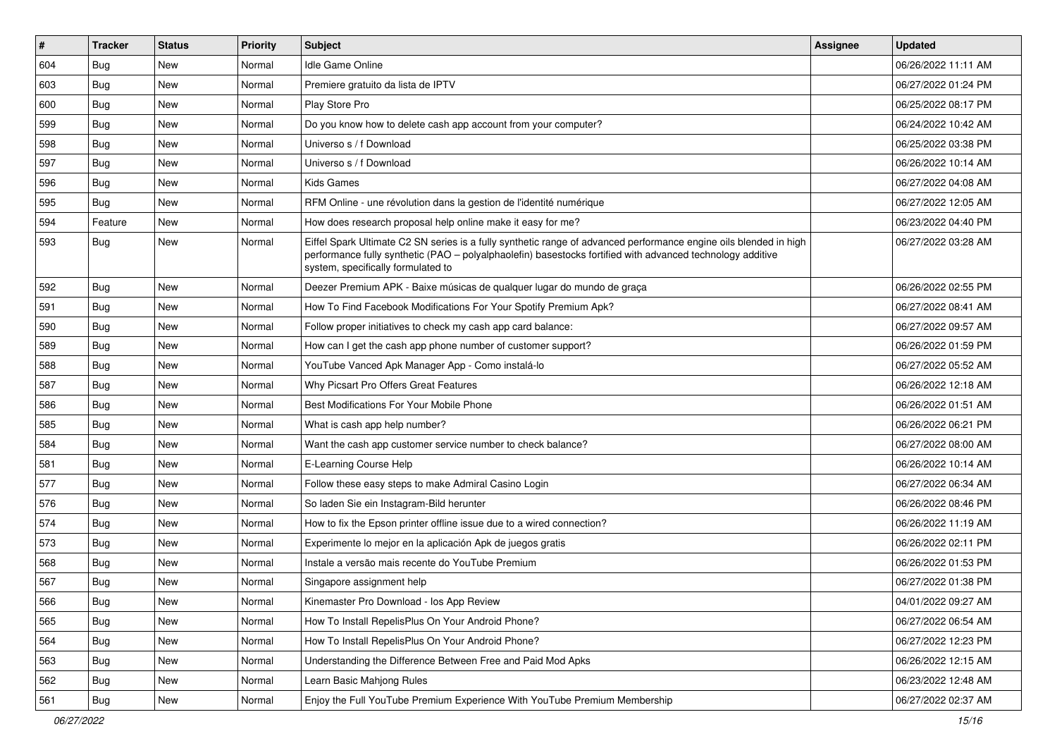| #   | <b>Tracker</b> | <b>Status</b> | <b>Priority</b> | <b>Subject</b>                                                                                                                                                                                                                                                        | Assignee | <b>Updated</b>      |
|-----|----------------|---------------|-----------------|-----------------------------------------------------------------------------------------------------------------------------------------------------------------------------------------------------------------------------------------------------------------------|----------|---------------------|
| 604 | <b>Bug</b>     | New           | Normal          | <b>Idle Game Online</b>                                                                                                                                                                                                                                               |          | 06/26/2022 11:11 AM |
| 603 | Bug            | New           | Normal          | Premiere gratuito da lista de IPTV                                                                                                                                                                                                                                    |          | 06/27/2022 01:24 PM |
| 600 | Bug            | New           | Normal          | Play Store Pro                                                                                                                                                                                                                                                        |          | 06/25/2022 08:17 PM |
| 599 | Bug            | New           | Normal          | Do you know how to delete cash app account from your computer?                                                                                                                                                                                                        |          | 06/24/2022 10:42 AM |
| 598 | Bug            | <b>New</b>    | Normal          | Universo s / f Download                                                                                                                                                                                                                                               |          | 06/25/2022 03:38 PM |
| 597 | Bug            | New           | Normal          | Universo s / f Download                                                                                                                                                                                                                                               |          | 06/26/2022 10:14 AM |
| 596 | Bug            | New           | Normal          | Kids Games                                                                                                                                                                                                                                                            |          | 06/27/2022 04:08 AM |
| 595 | <b>Bug</b>     | New           | Normal          | RFM Online - une révolution dans la gestion de l'identité numérique                                                                                                                                                                                                   |          | 06/27/2022 12:05 AM |
| 594 | Feature        | <b>New</b>    | Normal          | How does research proposal help online make it easy for me?                                                                                                                                                                                                           |          | 06/23/2022 04:40 PM |
| 593 | <b>Bug</b>     | New           | Normal          | Eiffel Spark Ultimate C2 SN series is a fully synthetic range of advanced performance engine oils blended in high<br>performance fully synthetic (PAO - polyalphaolefin) basestocks fortified with advanced technology additive<br>system, specifically formulated to |          | 06/27/2022 03:28 AM |
| 592 | Bug            | <b>New</b>    | Normal          | Deezer Premium APK - Baixe músicas de qualquer lugar do mundo de graça                                                                                                                                                                                                |          | 06/26/2022 02:55 PM |
| 591 | Bug            | New           | Normal          | How To Find Facebook Modifications For Your Spotify Premium Apk?                                                                                                                                                                                                      |          | 06/27/2022 08:41 AM |
| 590 | Bug            | New           | Normal          | Follow proper initiatives to check my cash app card balance:                                                                                                                                                                                                          |          | 06/27/2022 09:57 AM |
| 589 | <b>Bug</b>     | New           | Normal          | How can I get the cash app phone number of customer support?                                                                                                                                                                                                          |          | 06/26/2022 01:59 PM |
| 588 | Bug            | New           | Normal          | YouTube Vanced Apk Manager App - Como instalá-lo                                                                                                                                                                                                                      |          | 06/27/2022 05:52 AM |
| 587 | Bug            | New           | Normal          | Why Picsart Pro Offers Great Features                                                                                                                                                                                                                                 |          | 06/26/2022 12:18 AM |
| 586 | Bug            | New           | Normal          | Best Modifications For Your Mobile Phone                                                                                                                                                                                                                              |          | 06/26/2022 01:51 AM |
| 585 | Bug            | New           | Normal          | What is cash app help number?                                                                                                                                                                                                                                         |          | 06/26/2022 06:21 PM |
| 584 | Bug            | <b>New</b>    | Normal          | Want the cash app customer service number to check balance?                                                                                                                                                                                                           |          | 06/27/2022 08:00 AM |
| 581 | Bug            | New           | Normal          | E-Learning Course Help                                                                                                                                                                                                                                                |          | 06/26/2022 10:14 AM |
| 577 | Bug            | New           | Normal          | Follow these easy steps to make Admiral Casino Login                                                                                                                                                                                                                  |          | 06/27/2022 06:34 AM |
| 576 | <b>Bug</b>     | New           | Normal          | So laden Sie ein Instagram-Bild herunter                                                                                                                                                                                                                              |          | 06/26/2022 08:46 PM |
| 574 | Bug            | New           | Normal          | How to fix the Epson printer offline issue due to a wired connection?                                                                                                                                                                                                 |          | 06/26/2022 11:19 AM |
| 573 | Bug            | <b>New</b>    | Normal          | Experimente lo mejor en la aplicación Apk de juegos gratis                                                                                                                                                                                                            |          | 06/26/2022 02:11 PM |
| 568 | <b>Bug</b>     | New           | Normal          | Instale a versão mais recente do YouTube Premium                                                                                                                                                                                                                      |          | 06/26/2022 01:53 PM |
| 567 | <b>Bug</b>     | New           | Normal          | Singapore assignment help                                                                                                                                                                                                                                             |          | 06/27/2022 01:38 PM |
| 566 | Bug            | New           | Normal          | Kinemaster Pro Download - los App Review                                                                                                                                                                                                                              |          | 04/01/2022 09:27 AM |
| 565 | <b>Bug</b>     | New           | Normal          | How To Install RepelisPlus On Your Android Phone?                                                                                                                                                                                                                     |          | 06/27/2022 06:54 AM |
| 564 | <b>Bug</b>     | <b>New</b>    | Normal          | How To Install RepelisPlus On Your Android Phone?                                                                                                                                                                                                                     |          | 06/27/2022 12:23 PM |
| 563 | <b>Bug</b>     | New           | Normal          | Understanding the Difference Between Free and Paid Mod Apks                                                                                                                                                                                                           |          | 06/26/2022 12:15 AM |
| 562 | <b>Bug</b>     | New           | Normal          | Learn Basic Mahjong Rules                                                                                                                                                                                                                                             |          | 06/23/2022 12:48 AM |
| 561 | Bug            | New           | Normal          | Enjoy the Full YouTube Premium Experience With YouTube Premium Membership                                                                                                                                                                                             |          | 06/27/2022 02:37 AM |